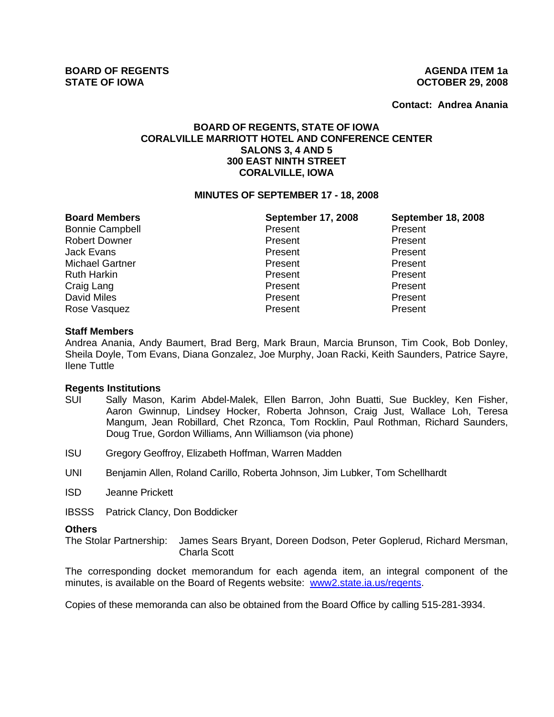**Contact: Andrea Anania**

# **BOARD OF REGENTS, STATE OF IOWA CORALVILLE MARRIOTT HOTEL AND CONFERENCE CENTER SALONS 3, 4 AND 5 300 EAST NINTH STREET CORALVILLE, IOWA**

#### **MINUTES OF SEPTEMBER 17 - 18, 2008**

| <b>Board Members</b>   | <b>September 17, 2008</b> | <b>September 18, 2008</b> |
|------------------------|---------------------------|---------------------------|
| <b>Bonnie Campbell</b> | Present                   | Present                   |
| <b>Robert Downer</b>   | Present                   | Present                   |
| <b>Jack Evans</b>      | Present                   | Present                   |
| <b>Michael Gartner</b> | Present                   | Present                   |
| <b>Ruth Harkin</b>     | Present                   | Present                   |
| Craig Lang             | Present                   | Present                   |
| David Miles            | Present                   | Present                   |
| Rose Vasquez           | Present                   | Present                   |

#### **Staff Members**

Andrea Anania, Andy Baumert, Brad Berg, Mark Braun, Marcia Brunson, Tim Cook, Bob Donley, Sheila Doyle, Tom Evans, Diana Gonzalez, Joe Murphy, Joan Racki, Keith Saunders, Patrice Sayre, Ilene Tuttle

#### **Regents Institutions**

- SUI Sally Mason, Karim Abdel-Malek, Ellen Barron, John Buatti, Sue Buckley, Ken Fisher, Aaron Gwinnup, Lindsey Hocker, Roberta Johnson, Craig Just, Wallace Loh, Teresa Mangum, Jean Robillard, Chet Rzonca, Tom Rocklin, Paul Rothman, Richard Saunders, Doug True, Gordon Williams, Ann Williamson (via phone)
- ISU Gregory Geoffroy, Elizabeth Hoffman, Warren Madden
- UNI Benjamin Allen, Roland Carillo, Roberta Johnson, Jim Lubker, Tom Schellhardt
- ISD Jeanne Prickett
- IBSSS Patrick Clancy, Don Boddicker

#### **Others**

The Stolar Partnership: James Sears Bryant, Doreen Dodson, Peter Goplerud, Richard Mersman, Charla Scott

The corresponding docket memorandum for each agenda item, an integral component of the minutes, is available on the Board of Regents website: www2.state.ia.us/regents.

Copies of these memoranda can also be obtained from the Board Office by calling 515-281-3934.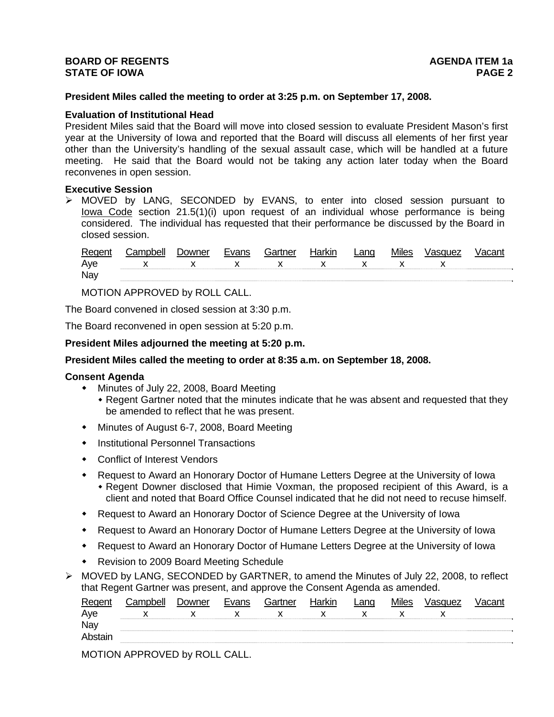# **President Miles called the meeting to order at 3:25 p.m. on September 17, 2008.**

#### **Evaluation of Institutional Head**

President Miles said that the Board will move into closed session to evaluate President Mason's first year at the University of Iowa and reported that the Board will discuss all elements of her first year other than the University's handling of the sexual assault case, which will be handled at a future meeting. He said that the Board would not be taking any action later today when the Board reconvenes in open session.

#### **Executive Session**

¾ MOVED by LANG, SECONDED by EVANS, to enter into closed session pursuant to Iowa Code section 21.5(1)(i) upon request of an individual whose performance is being considered. The individual has requested that their performance be discussed by the Board in closed session.

| Regent | Campbell          | Downer | Evans | Gartner | Harkin | Lang | Miles | Vasquez | <b>Vacant</b> |
|--------|-------------------|--------|-------|---------|--------|------|-------|---------|---------------|
| Aye    | $X$ x x x x x x x |        |       |         |        |      |       |         |               |
| Nay    |                   |        |       |         |        |      |       |         |               |

MOTION APPROVED by ROLL CALL.

The Board convened in closed session at 3:30 p.m.

The Board reconvened in open session at 5:20 p.m.

**President Miles adjourned the meeting at 5:20 p.m.** 

# **President Miles called the meeting to order at 8:35 a.m. on September 18, 2008.**

#### **Consent Agenda**

- Minutes of July 22, 2008, Board Meeting
	- Regent Gartner noted that the minutes indicate that he was absent and requested that they be amended to reflect that he was present.
- Minutes of August 6-7, 2008, Board Meeting
- **•** Institutional Personnel Transactions
- Conflict of Interest Vendors
- Request to Award an Honorary Doctor of Humane Letters Degree at the University of Iowa Regent Downer disclosed that Himie Voxman, the proposed recipient of this Award, is a client and noted that Board Office Counsel indicated that he did not need to recuse himself.
- Request to Award an Honorary Doctor of Science Degree at the University of Iowa
- Request to Award an Honorary Doctor of Humane Letters Degree at the University of Iowa
- Request to Award an Honorary Doctor of Humane Letters Degree at the University of Iowa
- Revision to 2009 Board Meeting Schedule
- ¾ MOVED by LANG, SECONDED by GARTNER, to amend the Minutes of July 22, 2008, to reflect that Regent Gartner was present, and approve the Consent Agenda as amended.

| Regen   | Campbell | ⊃owner | Evans | Gartner | Harkin | ∟ano | <b>Miles</b> | Vasquez | ∨acant |
|---------|----------|--------|-------|---------|--------|------|--------------|---------|--------|
| Aye     |          |        |       |         |        |      |              |         |        |
| Nay     |          |        |       |         |        |      |              |         |        |
| Abstair |          |        |       |         |        |      |              |         |        |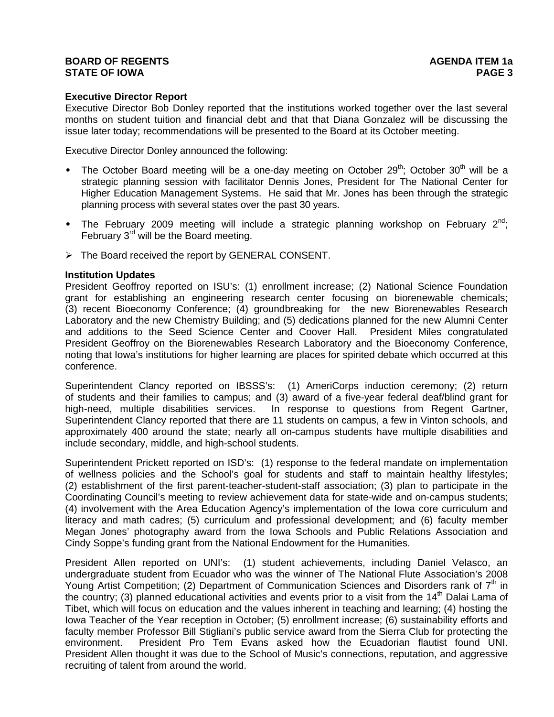# **Executive Director Report**

Executive Director Bob Donley reported that the institutions worked together over the last several months on student tuition and financial debt and that that Diana Gonzalez will be discussing the issue later today; recommendations will be presented to the Board at its October meeting.

Executive Director Donley announced the following:

- The October Board meeting will be a one-day meeting on October  $29<sup>th</sup>$ ; October  $30<sup>th</sup>$  will be a strategic planning session with facilitator Dennis Jones, President for The National Center for Higher Education Management Systems. He said that Mr. Jones has been through the strategic planning process with several states over the past 30 years.
- The February 2009 meeting will include a strategic planning workshop on February  $2^{nd}$ ; February 3<sup>rd</sup> will be the Board meeting.
- $\triangleright$  The Board received the report by GENERAL CONSENT.

# **Institution Updates**

President Geoffroy reported on ISU's: (1) enrollment increase; (2) National Science Foundation grant for establishing an engineering research center focusing on biorenewable chemicals; (3) recent Bioeconomy Conference; (4) groundbreaking for the new Biorenewables Research Laboratory and the new Chemistry Building; and (5) dedications planned for the new Alumni Center and additions to the Seed Science Center and Coover Hall. President Miles congratulated President Geoffroy on the Biorenewables Research Laboratory and the Bioeconomy Conference, noting that Iowa's institutions for higher learning are places for spirited debate which occurred at this conference.

Superintendent Clancy reported on IBSSS's: (1) AmeriCorps induction ceremony; (2) return of students and their families to campus; and (3) award of a five-year federal deaf/blind grant for high-need, multiple disabilities services. In response to questions from Regent Gartner, Superintendent Clancy reported that there are 11 students on campus, a few in Vinton schools, and approximately 400 around the state; nearly all on-campus students have multiple disabilities and include secondary, middle, and high-school students.

Superintendent Prickett reported on ISD's: (1) response to the federal mandate on implementation of wellness policies and the School's goal for students and staff to maintain healthy lifestyles; (2) establishment of the first parent-teacher-student-staff association; (3) plan to participate in the Coordinating Council's meeting to review achievement data for state-wide and on-campus students; (4) involvement with the Area Education Agency's implementation of the Iowa core curriculum and literacy and math cadres; (5) curriculum and professional development; and (6) faculty member Megan Jones' photography award from the Iowa Schools and Public Relations Association and Cindy Soppe's funding grant from the National Endowment for the Humanities.

President Allen reported on UNI's: (1) student achievements, including Daniel Velasco, an undergraduate student from Ecuador who was the winner of The National Flute Association's 2008 Young Artist Competition; (2) Department of Communication Sciences and Disorders rank of  $7<sup>th</sup>$  in the country; (3) planned educational activities and events prior to a visit from the  $14<sup>th</sup>$  Dalai Lama of Tibet, which will focus on education and the values inherent in teaching and learning; (4) hosting the Iowa Teacher of the Year reception in October; (5) enrollment increase; (6) sustainability efforts and faculty member Professor Bill Stigliani's public service award from the Sierra Club for protecting the environment. President Pro Tem Evans asked how the Ecuadorian flautist found UNI. President Allen thought it was due to the School of Music's connections, reputation, and aggressive recruiting of talent from around the world.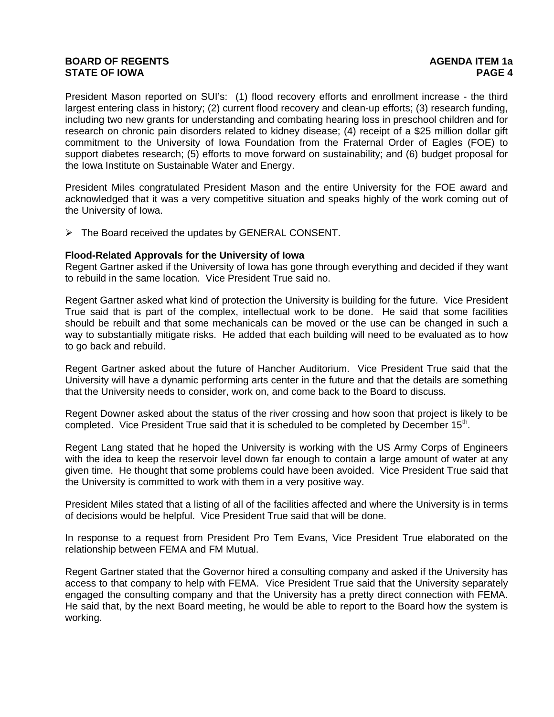President Mason reported on SUI's: (1) flood recovery efforts and enrollment increase - the third largest entering class in history; (2) current flood recovery and clean-up efforts; (3) research funding, including two new grants for understanding and combating hearing loss in preschool children and for research on chronic pain disorders related to kidney disease; (4) receipt of a \$25 million dollar gift commitment to the University of Iowa Foundation from the Fraternal Order of Eagles (FOE) to support diabetes research; (5) efforts to move forward on sustainability; and (6) budget proposal for the Iowa Institute on Sustainable Water and Energy.

President Miles congratulated President Mason and the entire University for the FOE award and acknowledged that it was a very competitive situation and speaks highly of the work coming out of the University of Iowa.

 $\triangleright$  The Board received the updates by GENERAL CONSENT.

#### **Flood-Related Approvals for the University of Iowa**

Regent Gartner asked if the University of Iowa has gone through everything and decided if they want to rebuild in the same location. Vice President True said no.

Regent Gartner asked what kind of protection the University is building for the future. Vice President True said that is part of the complex, intellectual work to be done. He said that some facilities should be rebuilt and that some mechanicals can be moved or the use can be changed in such a way to substantially mitigate risks. He added that each building will need to be evaluated as to how to go back and rebuild.

Regent Gartner asked about the future of Hancher Auditorium. Vice President True said that the University will have a dynamic performing arts center in the future and that the details are something that the University needs to consider, work on, and come back to the Board to discuss.

Regent Downer asked about the status of the river crossing and how soon that project is likely to be completed. Vice President True said that it is scheduled to be completed by December  $15<sup>th</sup>$ .

Regent Lang stated that he hoped the University is working with the US Army Corps of Engineers with the idea to keep the reservoir level down far enough to contain a large amount of water at any given time. He thought that some problems could have been avoided. Vice President True said that the University is committed to work with them in a very positive way.

President Miles stated that a listing of all of the facilities affected and where the University is in terms of decisions would be helpful. Vice President True said that will be done.

In response to a request from President Pro Tem Evans, Vice President True elaborated on the relationship between FEMA and FM Mutual.

Regent Gartner stated that the Governor hired a consulting company and asked if the University has access to that company to help with FEMA. Vice President True said that the University separately engaged the consulting company and that the University has a pretty direct connection with FEMA. He said that, by the next Board meeting, he would be able to report to the Board how the system is working.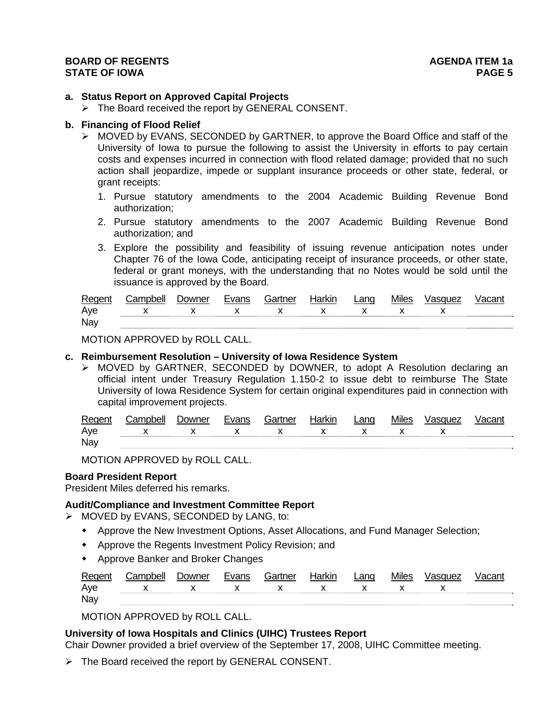#### **a. Status Report on Approved Capital Projects**

¾ The Board received the report by GENERAL CONSENT.

#### **b. Financing of Flood Relief**

- $\triangleright$  MOVED by EVANS, SECONDED by GARTNER, to approve the Board Office and staff of the University of Iowa to pursue the following to assist the University in efforts to pay certain costs and expenses incurred in connection with flood related damage; provided that no such action shall jeopardize, impede or supplant insurance proceeds or other state, federal, or grant receipts:
	- 1. Pursue statutory amendments to the 2004 Academic Building Revenue Bond authorization;
	- 2. Pursue statutory amendments to the 2007 Academic Building Revenue Bond authorization; and
	- 3. Explore the possibility and feasibility of issuing revenue anticipation notes under Chapter 76 of the Iowa Code, anticipating receipt of insurance proceeds, or other state, federal or grant moneys, with the understanding that no Notes would be sold until the issuance is approved by the Board.

| Regent | `:amnhell       | ⊃owner | Evans | Gartner | Harkin | ∟ang | Miles | Vasquez |  |
|--------|-----------------|--------|-------|---------|--------|------|-------|---------|--|
| Ave    | x x x x x x x x |        |       |         |        |      |       |         |  |
| Nav    |                 |        |       |         |        |      |       |         |  |

MOTION APPROVED by ROLL CALL.

#### **c. Reimbursement Resolution – University of Iowa Residence System**

¾ MOVED by GARTNER, SECONDED by DOWNER, to adopt A Resolution declaring an official intent under Treasury Regulation 1.150-2 to issue debt to reimburse The State University of Iowa Residence System for certain original expenditures paid in connection with capital improvement projects.

| Regent |                 | Jowner | Gartner | Harkir | Land | <b>Miles</b> |  |
|--------|-----------------|--------|---------|--------|------|--------------|--|
| Aye    | x x x x x x x x |        |         |        |      |              |  |
| Nay    |                 |        |         |        |      |              |  |

MOTION APPROVED by ROLL CALL.

#### **Board President Report**

President Miles deferred his remarks.

#### **Audit/Compliance and Investment Committee Report**

- $\triangleright$  MOVED by EVANS, SECONDED by LANG, to:
	- Approve the New Investment Options, Asset Allocations, and Fund Manager Selection;
	- Approve the Regents Investment Policy Revision; and
	- Approve Banker and Broker Changes

| Regen | `amnhell. | Jowner |  | larkın | Lang | <b>Miles</b> | /asquez                  |  |
|-------|-----------|--------|--|--------|------|--------------|--------------------------|--|
| Ave   |           |        |  |        |      |              | $\overline{\phantom{a}}$ |  |
| Nay   |           |        |  |        |      |              |                          |  |

MOTION APPROVED by ROLL CALL.

# **University of Iowa Hospitals and Clinics (UIHC) Trustees Report**

Chair Downer provided a brief overview of the September 17, 2008, UIHC Committee meeting.

¾ The Board received the report by GENERAL CONSENT.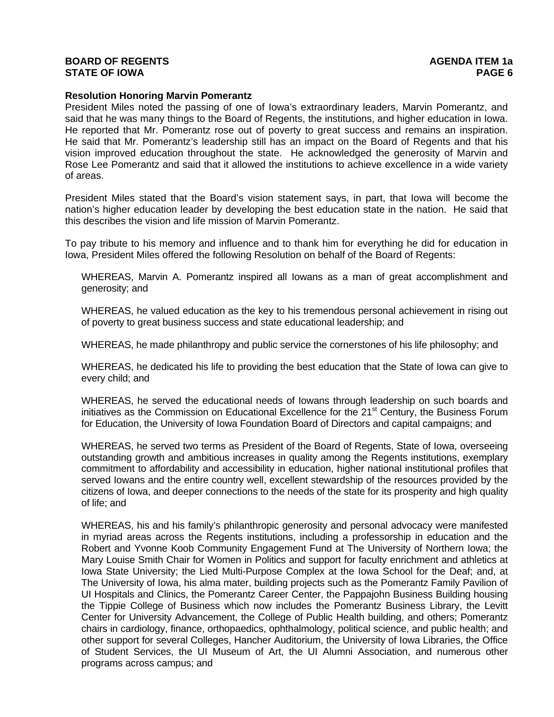#### **Resolution Honoring Marvin Pomerantz**

President Miles noted the passing of one of Iowa's extraordinary leaders, Marvin Pomerantz, and said that he was many things to the Board of Regents, the institutions, and higher education in Iowa. He reported that Mr. Pomerantz rose out of poverty to great success and remains an inspiration. He said that Mr. Pomerantz's leadership still has an impact on the Board of Regents and that his vision improved education throughout the state. He acknowledged the generosity of Marvin and Rose Lee Pomerantz and said that it allowed the institutions to achieve excellence in a wide variety of areas.

President Miles stated that the Board's vision statement says, in part, that Iowa will become the nation's higher education leader by developing the best education state in the nation. He said that this describes the vision and life mission of Marvin Pomerantz.

To pay tribute to his memory and influence and to thank him for everything he did for education in Iowa, President Miles offered the following Resolution on behalf of the Board of Regents:

WHEREAS, Marvin A. Pomerantz inspired all Iowans as a man of great accomplishment and generosity; and

WHEREAS, he valued education as the key to his tremendous personal achievement in rising out of poverty to great business success and state educational leadership; and

WHEREAS, he made philanthropy and public service the cornerstones of his life philosophy; and

WHEREAS, he dedicated his life to providing the best education that the State of Iowa can give to every child; and

WHEREAS, he served the educational needs of Iowans through leadership on such boards and initiatives as the Commission on Educational Excellence for the 21<sup>st</sup> Century, the Business Forum for Education, the University of Iowa Foundation Board of Directors and capital campaigns; and

WHEREAS, he served two terms as President of the Board of Regents, State of Iowa, overseeing outstanding growth and ambitious increases in quality among the Regents institutions, exemplary commitment to affordability and accessibility in education, higher national institutional profiles that served Iowans and the entire country well, excellent stewardship of the resources provided by the citizens of Iowa, and deeper connections to the needs of the state for its prosperity and high quality of life; and

WHEREAS, his and his family's philanthropic generosity and personal advocacy were manifested in myriad areas across the Regents institutions, including a professorship in education and the Robert and Yvonne Koob Community Engagement Fund at The University of Northern Iowa; the Mary Louise Smith Chair for Women in Politics and support for faculty enrichment and athletics at Iowa State University; the Lied Multi-Purpose Complex at the Iowa School for the Deaf; and, at The University of Iowa, his alma mater, building projects such as the Pomerantz Family Pavilion of UI Hospitals and Clinics, the Pomerantz Career Center, the Pappajohn Business Building housing the Tippie College of Business which now includes the Pomerantz Business Library, the Levitt Center for University Advancement, the College of Public Health building, and others; Pomerantz chairs in cardiology, finance, orthopaedics, ophthalmology, political science, and public health; and other support for several Colleges, Hancher Auditorium, the University of Iowa Libraries, the Office of Student Services, the UI Museum of Art, the UI Alumni Association, and numerous other programs across campus; and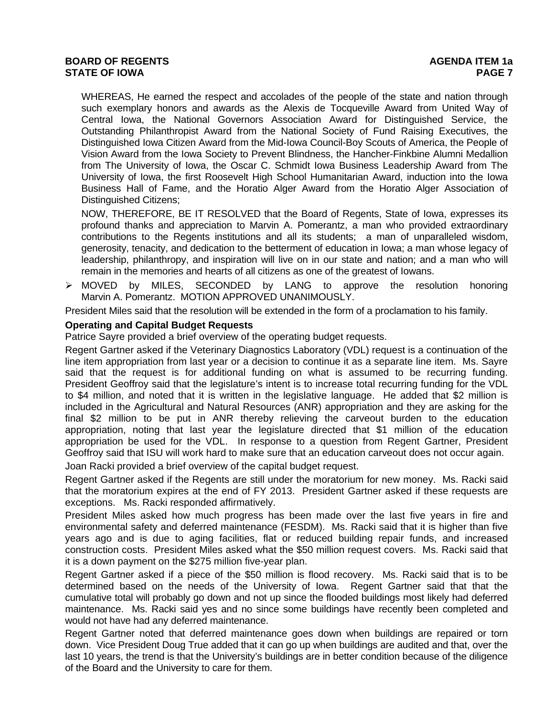WHEREAS, He earned the respect and accolades of the people of the state and nation through such exemplary honors and awards as the Alexis de Tocqueville Award from United Way of Central Iowa, the National Governors Association Award for Distinguished Service, the Outstanding Philanthropist Award from the National Society of Fund Raising Executives, the Distinguished Iowa Citizen Award from the Mid-Iowa Council-Boy Scouts of America, the People of Vision Award from the Iowa Society to Prevent Blindness, the Hancher-Finkbine Alumni Medallion from The University of Iowa, the Oscar C. Schmidt Iowa Business Leadership Award from The University of Iowa, the first Roosevelt High School Humanitarian Award, induction into the Iowa Business Hall of Fame, and the Horatio Alger Award from the Horatio Alger Association of Distinguished Citizens;

NOW, THEREFORE, BE IT RESOLVED that the Board of Regents, State of Iowa, expresses its profound thanks and appreciation to Marvin A. Pomerantz, a man who provided extraordinary contributions to the Regents institutions and all its students; a man of unparalleled wisdom, generosity, tenacity, and dedication to the betterment of education in Iowa; a man whose legacy of leadership, philanthropy, and inspiration will live on in our state and nation; and a man who will remain in the memories and hearts of all citizens as one of the greatest of Iowans.

¾ MOVED by MILES, SECONDED by LANG to approve the resolution honoring Marvin A. Pomerantz. MOTION APPROVED UNANIMOUSLY.

President Miles said that the resolution will be extended in the form of a proclamation to his family.

# **Operating and Capital Budget Requests**

Patrice Sayre provided a brief overview of the operating budget requests.

Regent Gartner asked if the Veterinary Diagnostics Laboratory (VDL) request is a continuation of the line item appropriation from last year or a decision to continue it as a separate line item. Ms. Sayre said that the request is for additional funding on what is assumed to be recurring funding. President Geoffroy said that the legislature's intent is to increase total recurring funding for the VDL to \$4 million, and noted that it is written in the legislative language. He added that \$2 million is included in the Agricultural and Natural Resources (ANR) appropriation and they are asking for the final \$2 million to be put in ANR thereby relieving the carveout burden to the education appropriation, noting that last year the legislature directed that \$1 million of the education appropriation be used for the VDL. In response to a question from Regent Gartner, President Geoffroy said that ISU will work hard to make sure that an education carveout does not occur again.

Joan Racki provided a brief overview of the capital budget request.

Regent Gartner asked if the Regents are still under the moratorium for new money. Ms. Racki said that the moratorium expires at the end of FY 2013. President Gartner asked if these requests are exceptions. Ms. Racki responded affirmatively.

President Miles asked how much progress has been made over the last five years in fire and environmental safety and deferred maintenance (FESDM). Ms. Racki said that it is higher than five years ago and is due to aging facilities, flat or reduced building repair funds, and increased construction costs. President Miles asked what the \$50 million request covers. Ms. Racki said that it is a down payment on the \$275 million five-year plan.

Regent Gartner asked if a piece of the \$50 million is flood recovery. Ms. Racki said that is to be determined based on the needs of the University of Iowa. Regent Gartner said that that the cumulative total will probably go down and not up since the flooded buildings most likely had deferred maintenance. Ms. Racki said yes and no since some buildings have recently been completed and would not have had any deferred maintenance.

Regent Gartner noted that deferred maintenance goes down when buildings are repaired or torn down. Vice President Doug True added that it can go up when buildings are audited and that, over the last 10 years, the trend is that the University's buildings are in better condition because of the diligence of the Board and the University to care for them.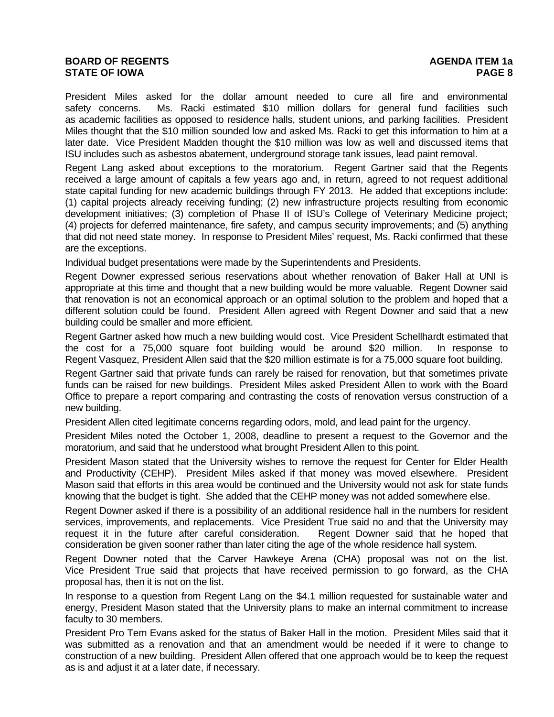# **BOARD OF REGENTS AGENDA ITEM 1a STATE OF IOWA**

President Miles asked for the dollar amount needed to cure all fire and environmental safety concerns. Ms. Racki estimated \$10 million dollars for general fund facilities such as academic facilities as opposed to residence halls, student unions, and parking facilities. President Miles thought that the \$10 million sounded low and asked Ms. Racki to get this information to him at a later date. Vice President Madden thought the \$10 million was low as well and discussed items that ISU includes such as asbestos abatement, underground storage tank issues, lead paint removal.

Regent Lang asked about exceptions to the moratorium. Regent Gartner said that the Regents received a large amount of capitals a few years ago and, in return, agreed to not request additional state capital funding for new academic buildings through FY 2013. He added that exceptions include: (1) capital projects already receiving funding; (2) new infrastructure projects resulting from economic development initiatives; (3) completion of Phase II of ISU's College of Veterinary Medicine project; (4) projects for deferred maintenance, fire safety, and campus security improvements; and (5) anything that did not need state money. In response to President Miles' request, Ms. Racki confirmed that these are the exceptions.

Individual budget presentations were made by the Superintendents and Presidents.

Regent Downer expressed serious reservations about whether renovation of Baker Hall at UNI is appropriate at this time and thought that a new building would be more valuable. Regent Downer said that renovation is not an economical approach or an optimal solution to the problem and hoped that a different solution could be found. President Allen agreed with Regent Downer and said that a new building could be smaller and more efficient.

Regent Gartner asked how much a new building would cost. Vice President Schellhardt estimated that the cost for a 75,000 square foot building would be around \$20 million. In response to Regent Vasquez, President Allen said that the \$20 million estimate is for a 75,000 square foot building.

Regent Gartner said that private funds can rarely be raised for renovation, but that sometimes private funds can be raised for new buildings. President Miles asked President Allen to work with the Board Office to prepare a report comparing and contrasting the costs of renovation versus construction of a new building.

President Allen cited legitimate concerns regarding odors, mold, and lead paint for the urgency.

President Miles noted the October 1, 2008, deadline to present a request to the Governor and the moratorium, and said that he understood what brought President Allen to this point.

President Mason stated that the University wishes to remove the request for Center for Elder Health and Productivity (CEHP). President Miles asked if that money was moved elsewhere. President Mason said that efforts in this area would be continued and the University would not ask for state funds knowing that the budget is tight. She added that the CEHP money was not added somewhere else.

Regent Downer asked if there is a possibility of an additional residence hall in the numbers for resident services, improvements, and replacements. Vice President True said no and that the University may request it in the future after careful consideration. Regent Downer said that he hoped that consideration be given sooner rather than later citing the age of the whole residence hall system.

Regent Downer noted that the Carver Hawkeye Arena (CHA) proposal was not on the list. Vice President True said that projects that have received permission to go forward, as the CHA proposal has, then it is not on the list.

In response to a question from Regent Lang on the \$4.1 million requested for sustainable water and energy, President Mason stated that the University plans to make an internal commitment to increase faculty to 30 members.

President Pro Tem Evans asked for the status of Baker Hall in the motion. President Miles said that it was submitted as a renovation and that an amendment would be needed if it were to change to construction of a new building. President Allen offered that one approach would be to keep the request as is and adjust it at a later date, if necessary.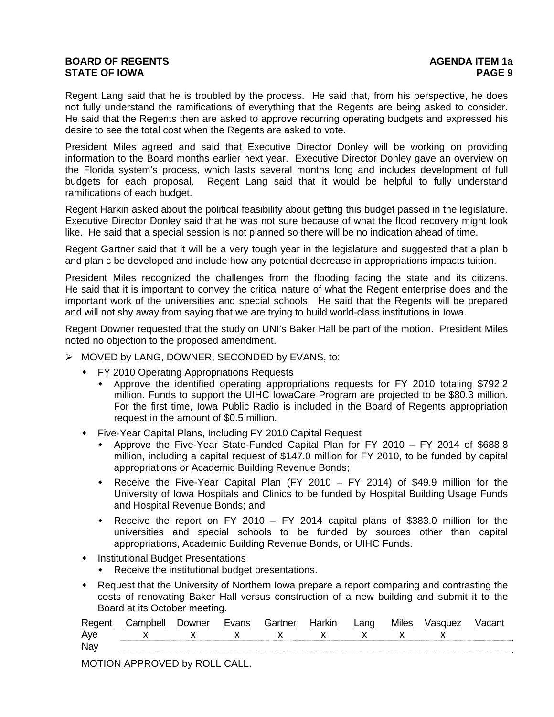Regent Lang said that he is troubled by the process. He said that, from his perspective, he does not fully understand the ramifications of everything that the Regents are being asked to consider. He said that the Regents then are asked to approve recurring operating budgets and expressed his desire to see the total cost when the Regents are asked to vote.

President Miles agreed and said that Executive Director Donley will be working on providing information to the Board months earlier next year. Executive Director Donley gave an overview on the Florida system's process, which lasts several months long and includes development of full budgets for each proposal. Regent Lang said that it would be helpful to fully understand ramifications of each budget.

Regent Harkin asked about the political feasibility about getting this budget passed in the legislature. Executive Director Donley said that he was not sure because of what the flood recovery might look like. He said that a special session is not planned so there will be no indication ahead of time.

Regent Gartner said that it will be a very tough year in the legislature and suggested that a plan b and plan c be developed and include how any potential decrease in appropriations impacts tuition.

President Miles recognized the challenges from the flooding facing the state and its citizens. He said that it is important to convey the critical nature of what the Regent enterprise does and the important work of the universities and special schools. He said that the Regents will be prepared and will not shy away from saying that we are trying to build world-class institutions in Iowa.

Regent Downer requested that the study on UNI's Baker Hall be part of the motion. President Miles noted no objection to the proposed amendment.

- ¾ MOVED by LANG, DOWNER, SECONDED by EVANS, to:
	- FY 2010 Operating Appropriations Requests
		- Approve the identified operating appropriations requests for FY 2010 totaling \$792.2 million. Funds to support the UIHC IowaCare Program are projected to be \$80.3 million. For the first time, Iowa Public Radio is included in the Board of Regents appropriation request in the amount of \$0.5 million.
	- Five-Year Capital Plans, Including FY 2010 Capital Request
		- Approve the Five-Year State-Funded Capital Plan for FY 2010 FY 2014 of \$688.8 million, including a capital request of \$147.0 million for FY 2010, to be funded by capital appropriations or Academic Building Revenue Bonds;
		- Receive the Five-Year Capital Plan (FY 2010 FY 2014) of \$49.9 million for the University of Iowa Hospitals and Clinics to be funded by Hospital Building Usage Funds and Hospital Revenue Bonds; and
		- Receive the report on FY 2010 FY 2014 capital plans of \$383.0 million for the universities and special schools to be funded by sources other than capital appropriations, Academic Building Revenue Bonds, or UIHC Funds.
	- **•** Institutional Budget Presentations
		- Receive the institutional budget presentations.
	- Request that the University of Northern Iowa prepare a report comparing and contrasting the costs of renovating Baker Hall versus construction of a new building and submit it to the Board at its October meeting.

| Aye |  |   |          |  |  |
|-----|--|---|----------|--|--|
|     |  | x | <b>Y</b> |  |  |
| Nay |  |   |          |  |  |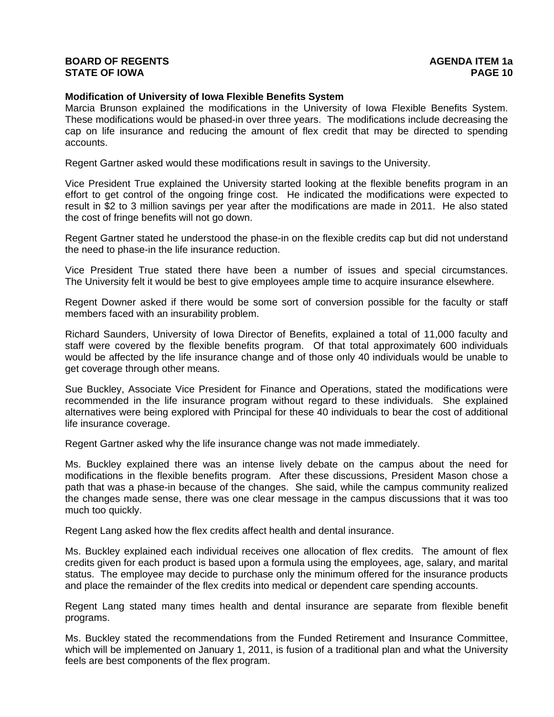#### **Modification of University of Iowa Flexible Benefits System**

Marcia Brunson explained the modifications in the University of Iowa Flexible Benefits System. These modifications would be phased-in over three years. The modifications include decreasing the cap on life insurance and reducing the amount of flex credit that may be directed to spending accounts.

Regent Gartner asked would these modifications result in savings to the University.

Vice President True explained the University started looking at the flexible benefits program in an effort to get control of the ongoing fringe cost. He indicated the modifications were expected to result in \$2 to 3 million savings per year after the modifications are made in 2011. He also stated the cost of fringe benefits will not go down.

Regent Gartner stated he understood the phase-in on the flexible credits cap but did not understand the need to phase-in the life insurance reduction.

Vice President True stated there have been a number of issues and special circumstances. The University felt it would be best to give employees ample time to acquire insurance elsewhere.

Regent Downer asked if there would be some sort of conversion possible for the faculty or staff members faced with an insurability problem.

Richard Saunders, University of Iowa Director of Benefits, explained a total of 11,000 faculty and staff were covered by the flexible benefits program. Of that total approximately 600 individuals would be affected by the life insurance change and of those only 40 individuals would be unable to get coverage through other means.

Sue Buckley, Associate Vice President for Finance and Operations, stated the modifications were recommended in the life insurance program without regard to these individuals. She explained alternatives were being explored with Principal for these 40 individuals to bear the cost of additional life insurance coverage.

Regent Gartner asked why the life insurance change was not made immediately.

Ms. Buckley explained there was an intense lively debate on the campus about the need for modifications in the flexible benefits program. After these discussions, President Mason chose a path that was a phase-in because of the changes. She said, while the campus community realized the changes made sense, there was one clear message in the campus discussions that it was too much too quickly.

Regent Lang asked how the flex credits affect health and dental insurance.

Ms. Buckley explained each individual receives one allocation of flex credits. The amount of flex credits given for each product is based upon a formula using the employees, age, salary, and marital status. The employee may decide to purchase only the minimum offered for the insurance products and place the remainder of the flex credits into medical or dependent care spending accounts.

Regent Lang stated many times health and dental insurance are separate from flexible benefit programs.

Ms. Buckley stated the recommendations from the Funded Retirement and Insurance Committee, which will be implemented on January 1, 2011, is fusion of a traditional plan and what the University feels are best components of the flex program.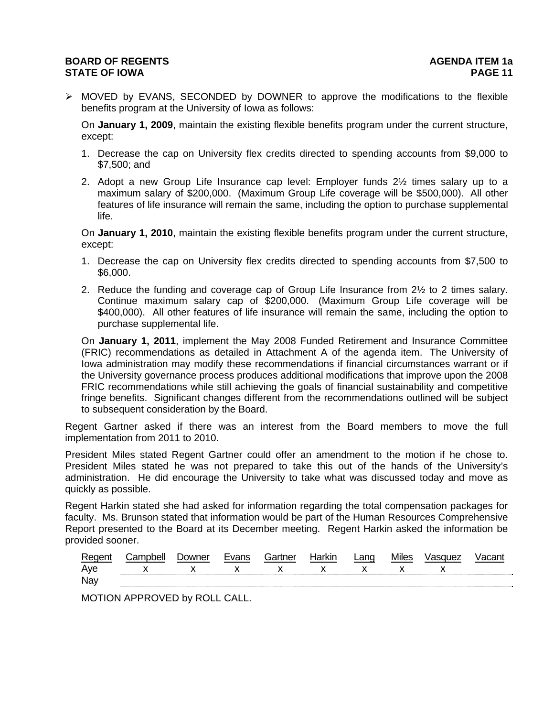$\triangleright$  MOVED by EVANS, SECONDED by DOWNER to approve the modifications to the flexible benefits program at the University of Iowa as follows:

On **January 1, 2009**, maintain the existing flexible benefits program under the current structure, except:

- 1. Decrease the cap on University flex credits directed to spending accounts from \$9,000 to \$7,500; and
- 2. Adopt a new Group Life Insurance cap level: Employer funds 2½ times salary up to a maximum salary of \$200,000. (Maximum Group Life coverage will be \$500,000). All other features of life insurance will remain the same, including the option to purchase supplemental life.

On **January 1, 2010**, maintain the existing flexible benefits program under the current structure, except:

- 1. Decrease the cap on University flex credits directed to spending accounts from \$7,500 to \$6,000.
- 2. Reduce the funding and coverage cap of Group Life Insurance from 2½ to 2 times salary. Continue maximum salary cap of \$200,000. (Maximum Group Life coverage will be \$400,000). All other features of life insurance will remain the same, including the option to purchase supplemental life.

On **January 1, 2011**, implement the May 2008 Funded Retirement and Insurance Committee (FRIC) recommendations as detailed in Attachment A of the agenda item. The University of Iowa administration may modify these recommendations if financial circumstances warrant or if the University governance process produces additional modifications that improve upon the 2008 FRIC recommendations while still achieving the goals of financial sustainability and competitive fringe benefits. Significant changes different from the recommendations outlined will be subject to subsequent consideration by the Board.

Regent Gartner asked if there was an interest from the Board members to move the full implementation from 2011 to 2010.

President Miles stated Regent Gartner could offer an amendment to the motion if he chose to. President Miles stated he was not prepared to take this out of the hands of the University's administration. He did encourage the University to take what was discussed today and move as quickly as possible.

Regent Harkin stated she had asked for information regarding the total compensation packages for faculty. Ms. Brunson stated that information would be part of the Human Resources Comprehensive Report presented to the Board at its December meeting. Regent Harkin asked the information be provided sooner.

| Rec | M | ∶ortnor          | . | anc | Miles | auez |  |
|-----|---|------------------|---|-----|-------|------|--|
| Aye |   | $\mathbf{x}$<br> |   |     |       |      |  |
| Nay |   |                  |   |     |       |      |  |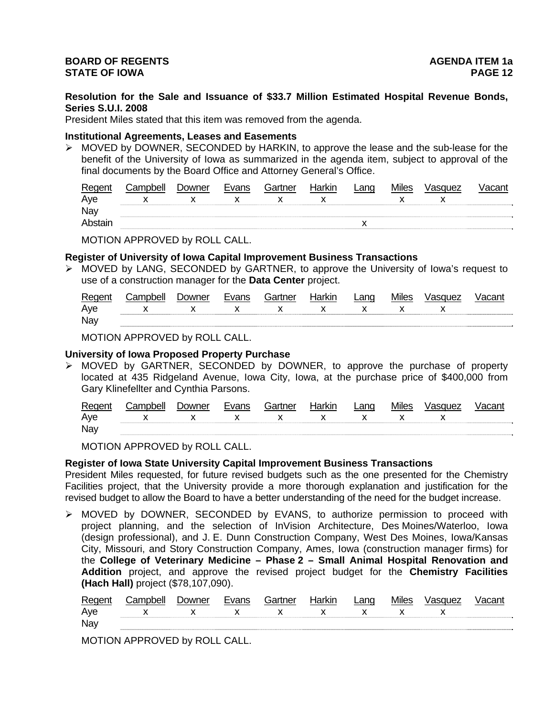**Resolution for the Sale and Issuance of \$33.7 Million Estimated Hospital Revenue Bonds, Series S.U.I. 2008** 

President Miles stated that this item was removed from the agenda.

#### **Institutional Agreements, Leases and Easements**

 $\triangleright$  MOVED by DOWNER, SECONDED by HARKIN, to approve the lease and the sub-lease for the benefit of the University of Iowa as summarized in the agenda item, subject to approval of the final documents by the Board Office and Attorney General's Office.

| Regent  | ∴amnhell | <b>Downer</b> | Evans | Gartner | Harkin | _ano | <b>Miles</b> | Vasquez |  |
|---------|----------|---------------|-------|---------|--------|------|--------------|---------|--|
| Aye     |          |               |       |         |        |      |              |         |  |
| Nay     |          |               |       |         |        |      |              |         |  |
| Abstair |          |               |       |         |        |      |              |         |  |

MOTION APPROVED by ROLL CALL.

#### **Register of University of Iowa Capital Improvement Business Transactions**

¾ MOVED by LANG, SECONDED by GARTNER, to approve the University of Iowa's request to use of a construction manager for the **Data Center** project.

| Reger' | `amnhell | Jowner | $\sqrt{2}$ | Gartner | ⊣orl∕ın<br>iai Nii | ∟ano | <b>Miles</b> | 'asquez |  |
|--------|----------|--------|------------|---------|--------------------|------|--------------|---------|--|
| Aye    |          |        |            |         | . .                |      |              |         |  |
| Nay    |          |        |            |         |                    |      |              |         |  |

MOTION APPROVED by ROLL CALL.

# **University of Iowa Proposed Property Purchase**

 $\triangleright$  MOVED by GARTNER, SECONDED by DOWNER, to approve the purchase of property located at 435 Ridgeland Avenue, Iowa City, Iowa, at the purchase price of \$400,000 from Gary Klinefellter and Cynthia Parsons.

| Regent | ∶ampbell | Jowner | Evans | Gartner      | Harkir       | ∟ang | <b>Miles</b> | Vasquez | √acant |
|--------|----------|--------|-------|--------------|--------------|------|--------------|---------|--------|
| Aye    |          |        |       | $\mathsf{X}$ | $\mathbf{x}$ |      |              |         |        |
| Nay    |          |        |       |              |              |      |              |         |        |

MOTION APPROVED by ROLL CALL.

#### **Register of Iowa State University Capital Improvement Business Transactions**

President Miles requested, for future revised budgets such as the one presented for the Chemistry Facilities project, that the University provide a more thorough explanation and justification for the revised budget to allow the Board to have a better understanding of the need for the budget increase.

¾ MOVED by DOWNER, SECONDED by EVANS, to authorize permission to proceed with project planning, and the selection of InVision Architecture, Des Moines/Waterloo, Iowa (design professional), and J. E. Dunn Construction Company, West Des Moines, Iowa/Kansas City, Missouri, and Story Construction Company, Ames, Iowa (construction manager firms) for the **College of Veterinary Medicine – Phase 2 – Small Animal Hospital Renovation and Addition** project, and approve the revised project budget for the **Chemistry Facilities (Hach Hall)** project (\$78,107,090).

| Regent | (`amnhell       | <i>D</i> owner | Evans | Gartner | Harkin | Lang | <b>Miles</b> | Vasquez |  |
|--------|-----------------|----------------|-------|---------|--------|------|--------------|---------|--|
| Aye    | x x x x x x x x |                |       |         |        |      |              |         |  |
| Nay    |                 |                |       |         |        |      |              |         |  |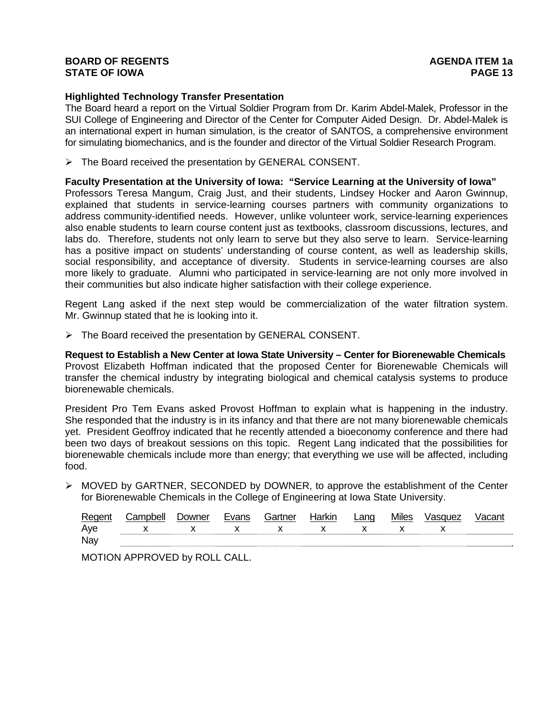# **Highlighted Technology Transfer Presentation**

The Board heard a report on the Virtual Soldier Program from Dr. Karim Abdel-Malek, Professor in the SUI College of Engineering and Director of the Center for Computer Aided Design. Dr. Abdel-Malek is an international expert in human simulation, is the creator of SANTOS, a comprehensive environment for simulating biomechanics, and is the founder and director of the Virtual Soldier Research Program.

¾ The Board received the presentation by GENERAL CONSENT.

#### **Faculty Presentation at the University of Iowa: "Service Learning at the University of Iowa"**

Professors Teresa Mangum, Craig Just, and their students, Lindsey Hocker and Aaron Gwinnup, explained that students in service-learning courses partners with community organizations to address community-identified needs. However, unlike volunteer work, service-learning experiences also enable students to learn course content just as textbooks, classroom discussions, lectures, and labs do. Therefore, students not only learn to serve but they also serve to learn. Service-learning has a positive impact on students' understanding of course content, as well as leadership skills, social responsibility, and acceptance of diversity. Students in service-learning courses are also more likely to graduate. Alumni who participated in service-learning are not only more involved in their communities but also indicate higher satisfaction with their college experience.

Regent Lang asked if the next step would be commercialization of the water filtration system. Mr. Gwinnup stated that he is looking into it.

¾ The Board received the presentation by GENERAL CONSENT.

**Request to Establish a New Center at Iowa State University – Center for Biorenewable Chemicals**  Provost Elizabeth Hoffman indicated that the proposed Center for Biorenewable Chemicals will transfer the chemical industry by integrating biological and chemical catalysis systems to produce biorenewable chemicals.

President Pro Tem Evans asked Provost Hoffman to explain what is happening in the industry. She responded that the industry is in its infancy and that there are not many biorenewable chemicals yet. President Geoffroy indicated that he recently attended a bioeconomy conference and there had been two days of breakout sessions on this topic. Regent Lang indicated that the possibilities for biorenewable chemicals include more than energy; that everything we use will be affected, including food.

¾ MOVED by GARTNER, SECONDED by DOWNER, to approve the establishment of the Center for Biorenewable Chemicals in the College of Engineering at Iowa State University.

| Regent | Campbell    | Downer | Evans | Gartner | Harkin | Lang           | <b>Miles</b> | Vasquez | Vacant |
|--------|-------------|--------|-------|---------|--------|----------------|--------------|---------|--------|
| Aye    | x x x x x x |        |       |         |        | $\mathsf{X}$ x |              |         |        |
| Nay    |             |        |       |         |        |                |              |         |        |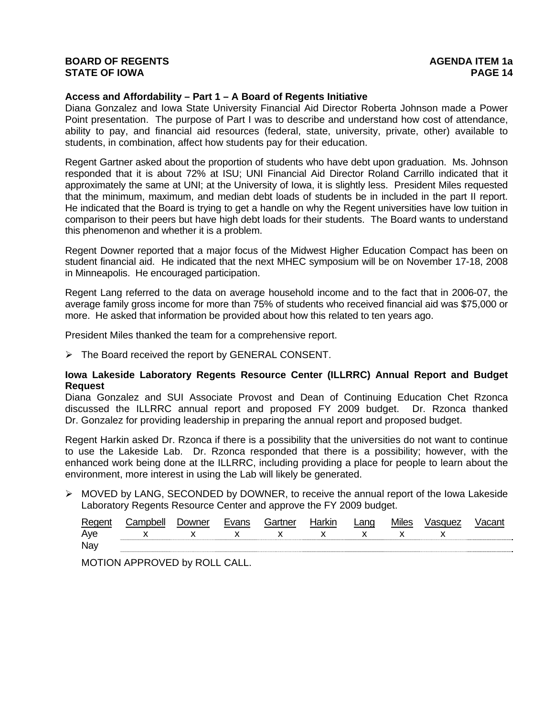#### **Access and Affordability – Part 1 – A Board of Regents Initiative**

Diana Gonzalez and Iowa State University Financial Aid Director Roberta Johnson made a Power Point presentation. The purpose of Part I was to describe and understand how cost of attendance, ability to pay, and financial aid resources (federal, state, university, private, other) available to students, in combination, affect how students pay for their education.

Regent Gartner asked about the proportion of students who have debt upon graduation. Ms. Johnson responded that it is about 72% at ISU; UNI Financial Aid Director Roland Carrillo indicated that it approximately the same at UNI; at the University of Iowa, it is slightly less. President Miles requested that the minimum, maximum, and median debt loads of students be in included in the part II report. He indicated that the Board is trying to get a handle on why the Regent universities have low tuition in comparison to their peers but have high debt loads for their students. The Board wants to understand this phenomenon and whether it is a problem.

Regent Downer reported that a major focus of the Midwest Higher Education Compact has been on student financial aid. He indicated that the next MHEC symposium will be on November 17-18, 2008 in Minneapolis. He encouraged participation.

Regent Lang referred to the data on average household income and to the fact that in 2006-07, the average family gross income for more than 75% of students who received financial aid was \$75,000 or more. He asked that information be provided about how this related to ten years ago.

President Miles thanked the team for a comprehensive report.

 $\triangleright$  The Board received the report by GENERAL CONSENT.

# **Iowa Lakeside Laboratory Regents Resource Center (ILLRRC) Annual Report and Budget Request**

Diana Gonzalez and SUI Associate Provost and Dean of Continuing Education Chet Rzonca discussed the ILLRRC annual report and proposed FY 2009 budget. Dr. Rzonca thanked Dr. Gonzalez for providing leadership in preparing the annual report and proposed budget.

Regent Harkin asked Dr. Rzonca if there is a possibility that the universities do not want to continue to use the Lakeside Lab. Dr. Rzonca responded that there is a possibility; however, with the enhanced work being done at the ILLRRC, including providing a place for people to learn about the environment, more interest in using the Lab will likely be generated.

 $\triangleright$  MOVED by LANG, SECONDED by DOWNER, to receive the annual report of the Iowa Lakeside Laboratory Regents Resource Center and approve the FY 2009 budget.

| Regen | `amnh≙ll | <b>Jowner</b> | Evans | Gartner | <b>Harkin</b> | ∟ano | <b>Miles</b> | asauez |  |
|-------|----------|---------------|-------|---------|---------------|------|--------------|--------|--|
| Aye   |          |               |       |         |               |      |              |        |  |
| Nay   |          |               |       |         |               |      |              |        |  |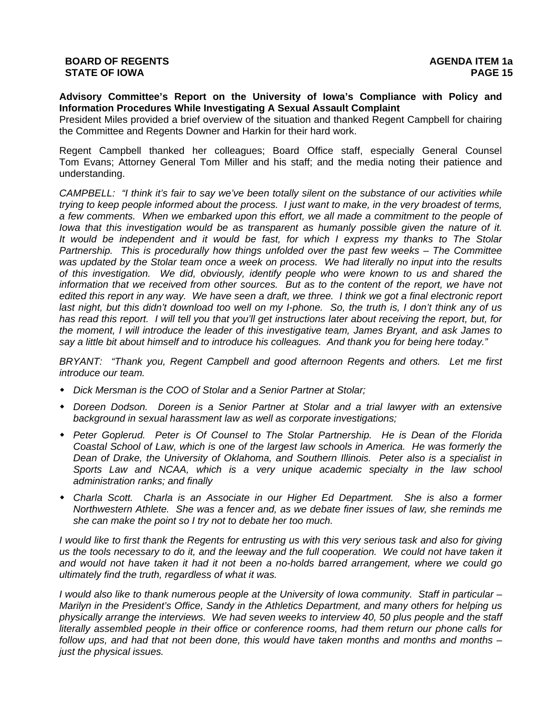**Advisory Committee's Report on the University of Iowa's Compliance with Policy and Information Procedures While Investigating A Sexual Assault Complaint** 

President Miles provided a brief overview of the situation and thanked Regent Campbell for chairing the Committee and Regents Downer and Harkin for their hard work.

Regent Campbell thanked her colleagues; Board Office staff, especially General Counsel Tom Evans; Attorney General Tom Miller and his staff; and the media noting their patience and understanding.

*CAMPBELL: "I think it's fair to say we've been totally silent on the substance of our activities while trying to keep people informed about the process. I just want to make, in the very broadest of terms, a few comments. When we embarked upon this effort, we all made a commitment to the people of Iowa that this investigation would be as transparent as humanly possible given the nature of it. It would be independent and it would be fast, for which I express my thanks to The Stolar Partnership. This is procedurally how things unfolded over the past few weeks – The Committee was updated by the Stolar team once a week on process. We had literally no input into the results of this investigation. We did, obviously, identify people who were known to us and shared the information that we received from other sources. But as to the content of the report, we have not edited this report in any way. We have seen a draft, we three. I think we got a final electronic report*  last night, but this didn't download too well on my *I-phone.* So, the truth is, I don't think any of us *has read this report. I will tell you that you'll get instructions later about receiving the report, but, for the moment, I will introduce the leader of this investigative team, James Bryant, and ask James to say a little bit about himself and to introduce his colleagues. And thank you for being here today."* 

*BRYANT: "Thank you, Regent Campbell and good afternoon Regents and others. Let me first introduce our team.* 

- *Dick Mersman is the COO of Stolar and a Senior Partner at Stolar;*
- *Doreen Dodson. Doreen is a Senior Partner at Stolar and a trial lawyer with an extensive background in sexual harassment law as well as corporate investigations;*
- *Peter Goplerud. Peter is Of Counsel to The Stolar Partnership. He is Dean of the Florida Coastal School of Law, which is one of the largest law schools in America. He was formerly the Dean of Drake, the University of Oklahoma, and Southern Illinois. Peter also is a specialist in Sports Law and NCAA, which is a very unique academic specialty in the law school administration ranks; and finally*
- *Charla Scott. Charla is an Associate in our Higher Ed Department. She is also a former Northwestern Athlete. She was a fencer and, as we debate finer issues of law, she reminds me she can make the point so I try not to debate her too much.*

*I would like to first thank the Regents for entrusting us with this very serious task and also for giving us the tools necessary to do it, and the leeway and the full cooperation. We could not have taken it and would not have taken it had it not been a no-holds barred arrangement, where we could go ultimately find the truth, regardless of what it was.* 

*I would also like to thank numerous people at the University of Iowa community. Staff in particular – Marilyn in the President's Office, Sandy in the Athletics Department, and many others for helping us physically arrange the interviews. We had seven weeks to interview 40, 50 plus people and the staff literally assembled people in their office or conference rooms, had them return our phone calls for follow ups, and had that not been done, this would have taken months and months and months – just the physical issues.*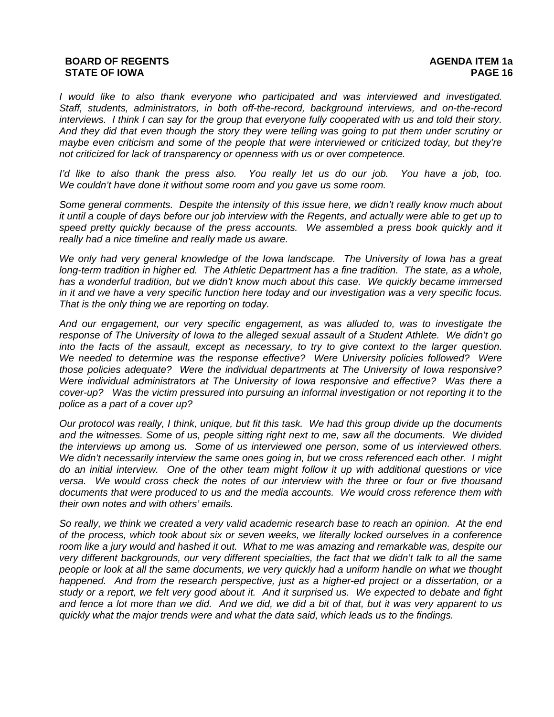*I would like to also thank everyone who participated and was interviewed and investigated. Staff, students, administrators, in both off-the-record, background interviews, and on-the-record interviews. I think I can say for the group that everyone fully cooperated with us and told their story. And they did that even though the story they were telling was going to put them under scrutiny or maybe even criticism and some of the people that were interviewed or criticized today, but they're not criticized for lack of transparency or openness with us or over competence.* 

*I'd like to also thank the press also. You really let us do our job. You have a job, too. We couldn't have done it without some room and you gave us some room.*

*Some general comments. Despite the intensity of this issue here, we didn't really know much about it until a couple of days before our job interview with the Regents, and actually were able to get up to speed pretty quickly because of the press accounts. We assembled a press book quickly and it really had a nice timeline and really made us aware.* 

*We only had very general knowledge of the Iowa landscape. The University of Iowa has a great long-term tradition in higher ed. The Athletic Department has a fine tradition. The state, as a whole, has a wonderful tradition, but we didn't know much about this case. We quickly became immersed in it and we have a very specific function here today and our investigation was a very specific focus. That is the only thing we are reporting on today.* 

*And our engagement, our very specific engagement, as was alluded to, was to investigate the response of The University of Iowa to the alleged sexual assault of a Student Athlete. We didn't go into the facts of the assault, except as necessary, to try to give context to the larger question. We needed to determine was the response effective? Were University policies followed? Were those policies adequate? Were the individual departments at The University of Iowa responsive? Were individual administrators at The University of Iowa responsive and effective? Was there a cover-up? Was the victim pressured into pursuing an informal investigation or not reporting it to the police as a part of a cover up?* 

*Our protocol was really, I think, unique, but fit this task. We had this group divide up the documents and the witnesses. Some of us, people sitting right next to me, saw all the documents. We divided the interviews up among us. Some of us interviewed one person, some of us interviewed others. We didn't necessarily interview the same ones going in, but we cross referenced each other. I might do an initial interview. One of the other team might follow it up with additional questions or vice versa. We would cross check the notes of our interview with the three or four or five thousand documents that were produced to us and the media accounts. We would cross reference them with their own notes and with others' emails.* 

*So really, we think we created a very valid academic research base to reach an opinion. At the end of the process, which took about six or seven weeks, we literally locked ourselves in a conference room like a jury would and hashed it out. What to me was amazing and remarkable was, despite our very different backgrounds, our very different specialties, the fact that we didn't talk to all the same people or look at all the same documents, we very quickly had a uniform handle on what we thought happened. And from the research perspective, just as a higher-ed project or a dissertation, or a study or a report, we felt very good about it. And it surprised us. We expected to debate and fight and fence a lot more than we did. And we did, we did a bit of that, but it was very apparent to us quickly what the major trends were and what the data said, which leads us to the findings.*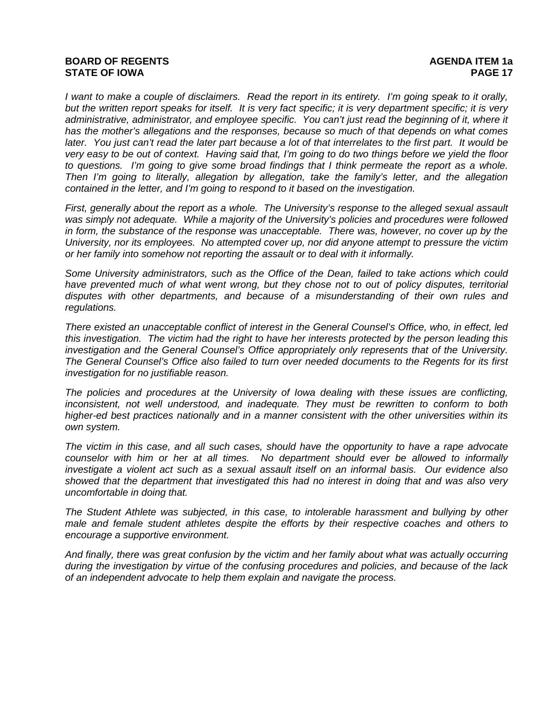*I want to make a couple of disclaimers. Read the report in its entirety. I'm going speak to it orally, but the written report speaks for itself. It is very fact specific; it is very department specific; it is very administrative, administrator, and employee specific. You can't just read the beginning of it, where it has the mother's allegations and the responses, because so much of that depends on what comes later. You just can't read the later part because a lot of that interrelates to the first part. It would be very easy to be out of context. Having said that, I'm going to do two things before we yield the floor to questions. I'm going to give some broad findings that I think permeate the report as a whole. Then I'm going to literally, allegation by allegation, take the family's letter, and the allegation contained in the letter, and I'm going to respond to it based on the investigation.* 

*First, generally about the report as a whole. The University's response to the alleged sexual assault*  was simply not adequate. While a majority of the University's policies and procedures were followed *in form, the substance of the response was unacceptable. There was, however, no cover up by the University, nor its employees. No attempted cover up, nor did anyone attempt to pressure the victim or her family into somehow not reporting the assault or to deal with it informally.* 

*Some University administrators, such as the Office of the Dean, failed to take actions which could*  have prevented much of what went wrong, but they chose not to out of policy disputes, territorial *disputes with other departments, and because of a misunderstanding of their own rules and regulations.* 

*There existed an unacceptable conflict of interest in the General Counsel's Office, who, in effect, led this investigation. The victim had the right to have her interests protected by the person leading this investigation and the General Counsel's Office appropriately only represents that of the University. The General Counsel's Office also failed to turn over needed documents to the Regents for its first investigation for no justifiable reason.* 

*The policies and procedures at the University of Iowa dealing with these issues are conflicting, inconsistent, not well understood, and inadequate. They must be rewritten to conform to both higher-ed best practices nationally and in a manner consistent with the other universities within its own system.* 

*The victim in this case, and all such cases, should have the opportunity to have a rape advocate counselor with him or her at all times. No department should ever be allowed to informally investigate a violent act such as a sexual assault itself on an informal basis. Our evidence also showed that the department that investigated this had no interest in doing that and was also very uncomfortable in doing that.* 

*The Student Athlete was subjected, in this case, to intolerable harassment and bullying by other male and female student athletes despite the efforts by their respective coaches and others to encourage a supportive environment.* 

*And finally, there was great confusion by the victim and her family about what was actually occurring during the investigation by virtue of the confusing procedures and policies, and because of the lack of an independent advocate to help them explain and navigate the process.*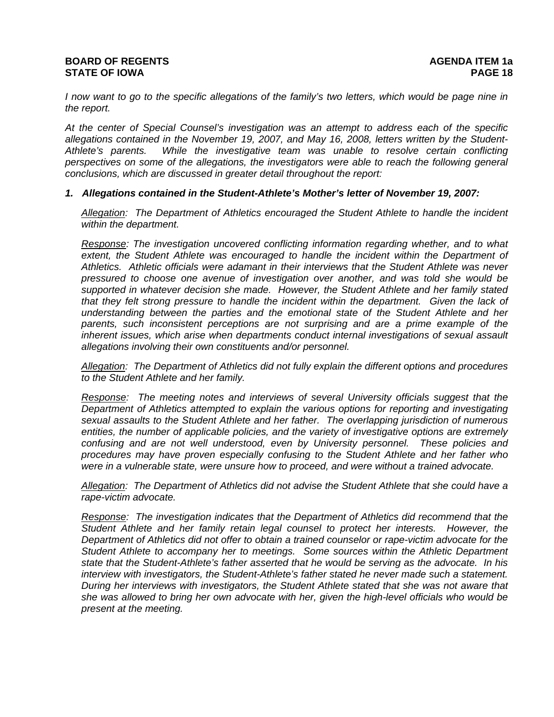# **BOARD OF REGENTS** AGENUS AGENDA ITEM 1a **STATE OF IOWA PAGE 18**

*I now want to go to the specific allegations of the family's two letters, which would be page nine in the report.* 

*At the center of Special Counsel's investigation was an attempt to address each of the specific allegations contained in the November 19, 2007, and May 16, 2008, letters written by the Student-Athlete's parents. While the investigative team was unable to resolve certain conflicting perspectives on some of the allegations, the investigators were able to reach the following general conclusions, which are discussed in greater detail throughout the report:* 

#### *1. Allegations contained in the Student-Athlete's Mother's letter of November 19, 2007:*

*Allegation: The Department of Athletics encouraged the Student Athlete to handle the incident within the department.* 

*Response: The investigation uncovered conflicting information regarding whether, and to what* extent, the Student Athlete was encouraged to handle the incident within the Department of *Athletics. Athletic officials were adamant in their interviews that the Student Athlete was never pressured to choose one avenue of investigation over another, and was told she would be supported in whatever decision she made. However, the Student Athlete and her family stated that they felt strong pressure to handle the incident within the department. Given the lack of understanding between the parties and the emotional state of the Student Athlete and her parents, such inconsistent perceptions are not surprising and are a prime example of the inherent issues, which arise when departments conduct internal investigations of sexual assault allegations involving their own constituents and/or personnel.* 

*Allegation: The Department of Athletics did not fully explain the different options and procedures to the Student Athlete and her family.* 

*Response: The meeting notes and interviews of several University officials suggest that the Department of Athletics attempted to explain the various options for reporting and investigating sexual assaults to the Student Athlete and her father. The overlapping jurisdiction of numerous entities, the number of applicable policies, and the variety of investigative options are extremely confusing and are not well understood, even by University personnel. These policies and procedures may have proven especially confusing to the Student Athlete and her father who were in a vulnerable state, were unsure how to proceed, and were without a trained advocate.* 

*Allegation: The Department of Athletics did not advise the Student Athlete that she could have a rape-victim advocate.* 

*Response: The investigation indicates that the Department of Athletics did recommend that the Student Athlete and her family retain legal counsel to protect her interests. However, the Department of Athletics did not offer to obtain a trained counselor or rape-victim advocate for the Student Athlete to accompany her to meetings. Some sources within the Athletic Department state that the Student-Athlete's father asserted that he would be serving as the advocate. In his interview with investigators, the Student-Athlete's father stated he never made such a statement. During her interviews with investigators, the Student Athlete stated that she was not aware that she was allowed to bring her own advocate with her, given the high-level officials who would be present at the meeting.*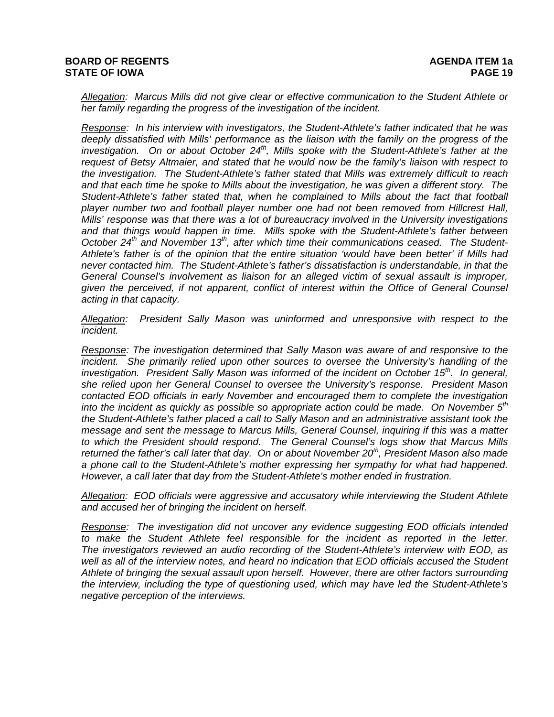*Allegation: Marcus Mills did not give clear or effective communication to the Student Athlete or her family regarding the progress of the investigation of the incident.* 

*Response: In his interview with investigators, the Student-Athlete's father indicated that he was deeply dissatisfied with Mills' performance as the liaison with the family on the progress of the investigation. On or about October 24th, Mills spoke with the Student-Athlete's father at the request of Betsy Altmaier, and stated that he would now be the family's liaison with respect to the investigation. The Student-Athlete's father stated that Mills was extremely difficult to reach and that each time he spoke to Mills about the investigation, he was given a different story. The Student-Athlete's father stated that, when he complained to Mills about the fact that football player number two and football player number one had not been removed from Hillcrest Hall, Mills' response was that there was a lot of bureaucracy involved in the University investigations and that things would happen in time. Mills spoke with the Student-Athlete's father between October 24th and November 13th, after which time their communications ceased. The Student-Athlete's father is of the opinion that the entire situation 'would have been better' if Mills had never contacted him. The Student-Athlete's father's dissatisfaction is understandable, in that the General Counsel's involvement as liaison for an alleged victim of sexual assault is improper, given the perceived, if not apparent, conflict of interest within the Office of General Counsel acting in that capacity.* 

*Allegation: President Sally Mason was uninformed and unresponsive with respect to the incident.* 

*Response: The investigation determined that Sally Mason was aware of and responsive to the incident.* She primarily relied upon other sources to oversee the University's handling of the *investigation. President Sally Mason was informed of the incident on October 15th. In general, she relied upon her General Counsel to oversee the University's response. President Mason contacted EOD officials in early November and encouraged them to complete the investigation into the incident as quickly as possible so appropriate action could be made. On November 5th the Student-Athlete's father placed a call to Sally Mason and an administrative assistant took the message and sent the message to Marcus Mills, General Counsel, inquiring if this was a matter to which the President should respond. The General Counsel's logs show that Marcus Mills returned the father's call later that day. On or about November 20th, President Mason also made a phone call to the Student-Athlete's mother expressing her sympathy for what had happened. However, a call later that day from the Student-Athlete's mother ended in frustration.* 

*Allegation: EOD officials were aggressive and accusatory while interviewing the Student Athlete and accused her of bringing the incident on herself.* 

*Response: The investigation did not uncover any evidence suggesting EOD officials intended to make the Student Athlete feel responsible for the incident as reported in the letter. The investigators reviewed an audio recording of the Student-Athlete's interview with EOD, as well as all of the interview notes, and heard no indication that EOD officials accused the Student Athlete of bringing the sexual assault upon herself. However, there are other factors surrounding the interview, including the type of questioning used, which may have led the Student-Athlete's negative perception of the interviews.*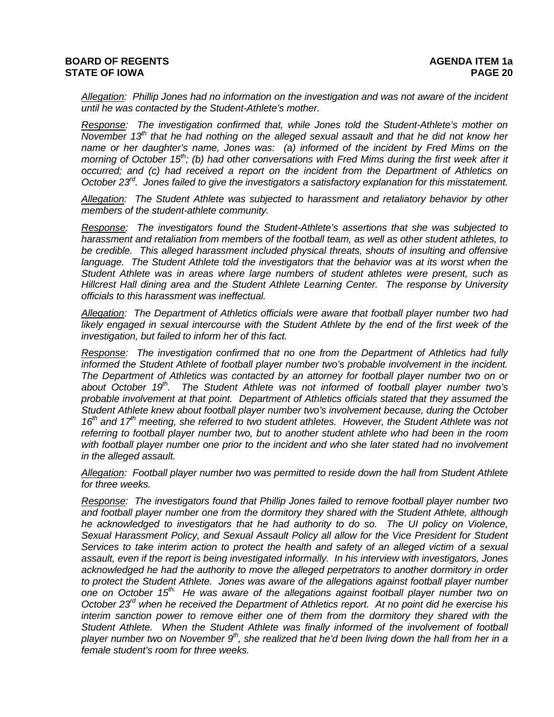*Allegation: Phillip Jones had no information on the investigation and was not aware of the incident until he was contacted by the Student-Athlete's mother.* 

*Response: The investigation confirmed that, while Jones told the Student-Athlete's mother on November 13<sup>th</sup> that he had nothing on the alleged sexual assault and that he did not know her name or her daughter's name, Jones was: (a) informed of the incident by Fred Mims on the morning of October 15<sup>th</sup>; (b) had other conversations with Fred Mims during the first week after it occurred; and (c) had received a report on the incident from the Department of Athletics on October 23rd. Jones failed to give the investigators a satisfactory explanation for this misstatement.* 

*Allegation: The Student Athlete was subjected to harassment and retaliatory behavior by other members of the student-athlete community.* 

*Response: The investigators found the Student-Athlete's assertions that she was subjected to harassment and retaliation from members of the football team, as well as other student athletes, to be credible. This alleged harassment included physical threats, shouts of insulting and offensive language. The Student Athlete told the investigators that the behavior was at its worst when the Student Athlete was in areas where large numbers of student athletes were present, such as Hillcrest Hall dining area and the Student Athlete Learning Center. The response by University officials to this harassment was ineffectual.* 

*Allegation: The Department of Athletics officials were aware that football player number two had*  likely engaged in sexual intercourse with the Student Athlete by the end of the first week of the *investigation, but failed to inform her of this fact.* 

*Response: The investigation confirmed that no one from the Department of Athletics had fully informed the Student Athlete of football player number two's probable involvement in the incident. The Department of Athletics was contacted by an attorney for football player number two on or*  about October 19<sup>th</sup>. The Student Athlete was not informed of football player number two's *probable involvement at that point. Department of Athletics officials stated that they assumed the Student Athlete knew about football player number two's involvement because, during the October*  16<sup>th</sup> and 17<sup>th</sup> meeting, she referred to two student athletes. However, the Student Athlete was not *referring to football player number two, but to another student athlete who had been in the room*  with football player number one prior to the incident and who she later stated had no involvement *in the alleged assault.* 

*Allegation: Football player number two was permitted to reside down the hall from Student Athlete for three weeks.* 

*Response: The investigators found that Phillip Jones failed to remove football player number two and football player number one from the dormitory they shared with the Student Athlete, although he acknowledged to investigators that he had authority to do so. The UI policy on Violence, Sexual Harassment Policy, and Sexual Assault Policy all allow for the Vice President for Student Services to take interim action to protect the health and safety of an alleged victim of a sexual assault, even if the report is being investigated informally. In his interview with investigators, Jones acknowledged he had the authority to move the alleged perpetrators to another dormitory in order to protect the Student Athlete. Jones was aware of the allegations against football player number one on October 15th. He was aware of the allegations against football player number two on October 23rd when he received the Department of Athletics report. At no point did he exercise his interim sanction power to remove either one of them from the dormitory they shared with the Student Athlete. When the Student Athlete was finally informed of the involvement of football*  player number two on November 9<sup>th</sup>, she realized that he'd been living down the hall from her in a *female student's room for three weeks.*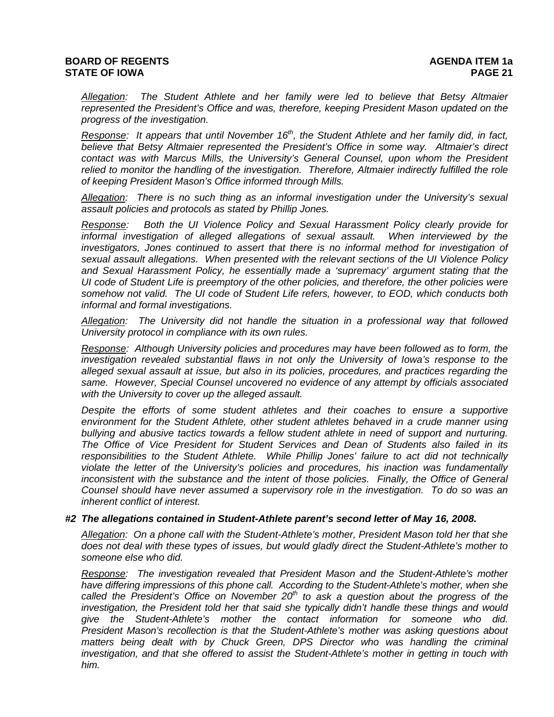*Allegation: The Student Athlete and her family were led to believe that Betsy Altmaier represented the President's Office and was, therefore, keeping President Mason updated on the progress of the investigation.* 

*Response: It appears that until November 16<sup>th</sup>, the Student Athlete and her family did, in fact, believe that Betsy Altmaier represented the President's Office in some way. Altmaier's direct contact was with Marcus Mills, the University's General Counsel, upon whom the President relied to monitor the handling of the investigation. Therefore, Altmaier indirectly fulfilled the role of keeping President Mason's Office informed through Mills.* 

*Allegation: There is no such thing as an informal investigation under the University's sexual assault policies and protocols as stated by Phillip Jones.* 

*Response: Both the UI Violence Policy and Sexual Harassment Policy clearly provide for informal investigation of alleged allegations of sexual assault. When interviewed by the*  investigators, Jones continued to assert that there is no informal method for investigation of *sexual assault allegations. When presented with the relevant sections of the UI Violence Policy and Sexual Harassment Policy, he essentially made a 'supremacy' argument stating that the UI code of Student Life is preemptory of the other policies, and therefore, the other policies were somehow not valid. The UI code of Student Life refers, however, to EOD, which conducts both informal and formal investigations.* 

*Allegation: The University did not handle the situation in a professional way that followed University protocol in compliance with its own rules.* 

*Response: Although University policies and procedures may have been followed as to form, the investigation revealed substantial flaws in not only the University of Iowa's response to the alleged sexual assault at issue, but also in its policies, procedures, and practices regarding the same. However, Special Counsel uncovered no evidence of any attempt by officials associated with the University to cover up the alleged assault.* 

*Despite the efforts of some student athletes and their coaches to ensure a supportive environment for the Student Athlete, other student athletes behaved in a crude manner using bullying and abusive tactics towards a fellow student athlete in need of support and nurturing. The Office of Vice President for Student Services and Dean of Students also failed in its responsibilities to the Student Athlete. While Phillip Jones' failure to act did not technically violate the letter of the University's policies and procedures, his inaction was fundamentally inconsistent with the substance and the intent of those policies. Finally, the Office of General Counsel should have never assumed a supervisory role in the investigation. To do so was an inherent conflict of interest.* 

#### *#2 The allegations contained in Student-Athlete parent's second letter of May 16, 2008.*

*Allegation: On a phone call with the Student-Athlete's mother, President Mason told her that she does not deal with these types of issues, but would gladly direct the Student-Athlete's mother to someone else who did.* 

*Response: The investigation revealed that President Mason and the Student-Athlete's mother have differing impressions of this phone call. According to the Student-Athlete's mother, when she*  called the President's Office on November  $20<sup>th</sup>$  to ask a question about the progress of the *investigation, the President told her that said she typically didn't handle these things and would give the Student-Athlete's mother the contact information for someone who did. President Mason's recollection is that the Student-Athlete's mother was asking questions about*  matters being dealt with by Chuck Green, DPS Director who was handling the criminal *investigation, and that she offered to assist the Student-Athlete's mother in getting in touch with him.*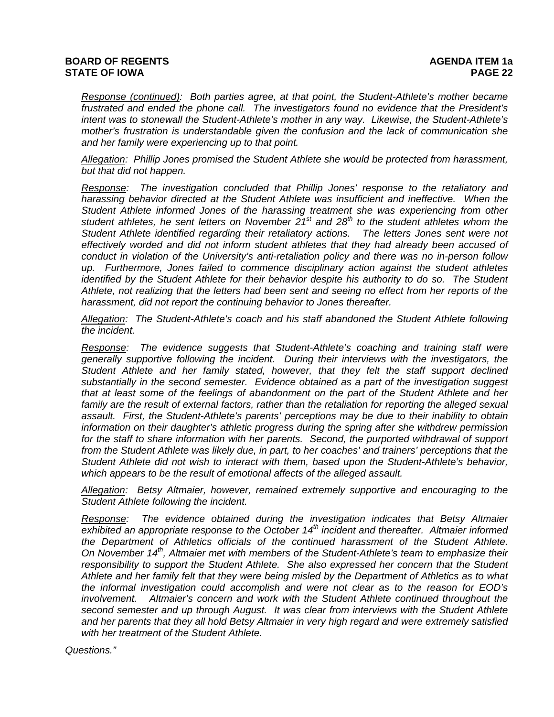*Response (continued): Both parties agree, at that point, the Student-Athlete's mother became frustrated and ended the phone call. The investigators found no evidence that the President's intent was to stonewall the Student-Athlete's mother in any way. Likewise, the Student-Athlete's mother's frustration is understandable given the confusion and the lack of communication she and her family were experiencing up to that point.* 

*Allegation: Phillip Jones promised the Student Athlete she would be protected from harassment, but that did not happen.* 

*Response: The investigation concluded that Phillip Jones' response to the retaliatory and*  harassing behavior directed at the Student Athlete was insufficient and ineffective. When the *Student Athlete informed Jones of the harassing treatment she was experiencing from other*  student athletes, he sent letters on November 2<sup>1st</sup> and 28<sup>th</sup> to the student athletes whom the *Student Athlete identified regarding their retaliatory actions. The letters Jones sent were not effectively worded and did not inform student athletes that they had already been accused of conduct in violation of the University's anti-retaliation policy and there was no in-person follow up. Furthermore, Jones failed to commence disciplinary action against the student athletes identified by the Student Athlete for their behavior despite his authority to do so. The Student Athlete, not realizing that the letters had been sent and seeing no effect from her reports of the harassment, did not report the continuing behavior to Jones thereafter.* 

*Allegation: The Student-Athlete's coach and his staff abandoned the Student Athlete following the incident.* 

*Response: The evidence suggests that Student-Athlete's coaching and training staff were generally supportive following the incident. During their interviews with the investigators, the Student Athlete and her family stated, however, that they felt the staff support declined substantially in the second semester. Evidence obtained as a part of the investigation suggest that at least some of the feelings of abandonment on the part of the Student Athlete and her*  family are the result of external factors, rather than the retaliation for reporting the alleged sexual *assault. First, the Student-Athlete's parents' perceptions may be due to their inability to obtain information on their daughter's athletic progress during the spring after she withdrew permission*  for the staff to share information with her parents. Second, the purported withdrawal of support *from the Student Athlete was likely due, in part, to her coaches' and trainers' perceptions that the Student Athlete did not wish to interact with them, based upon the Student-Athlete's behavior, which appears to be the result of emotional affects of the alleged assault.* 

*Allegation: Betsy Altmaier, however, remained extremely supportive and encouraging to the Student Athlete following the incident.* 

*Response: The evidence obtained during the investigation indicates that Betsy Altmaier exhibited an appropriate response to the October 14th incident and thereafter. Altmaier informed the Department of Athletics officials of the continued harassment of the Student Athlete. On November 14th, Altmaier met with members of the Student-Athlete's team to emphasize their responsibility to support the Student Athlete. She also expressed her concern that the Student Athlete and her family felt that they were being misled by the Department of Athletics as to what the informal investigation could accomplish and were not clear as to the reason for EOD's involvement. Altmaier's concern and work with the Student Athlete continued throughout the second semester and up through August. It was clear from interviews with the Student Athlete and her parents that they all hold Betsy Altmaier in very high regard and were extremely satisfied with her treatment of the Student Athlete.* 

*Questions."*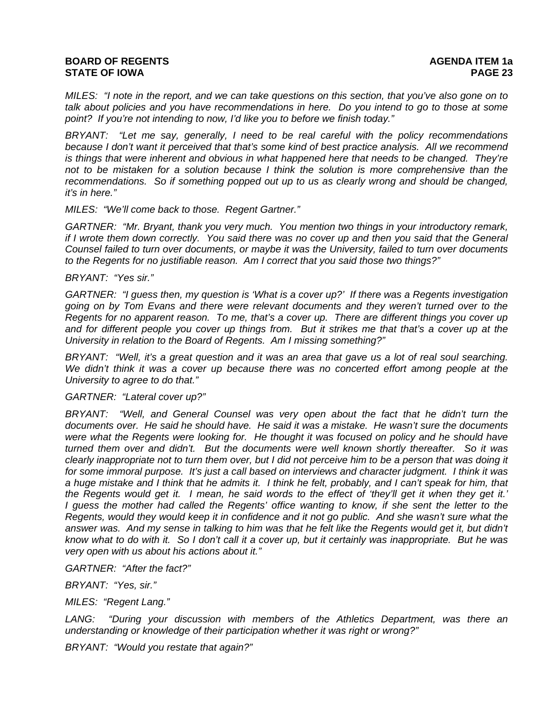*MILES: "I note in the report, and we can take questions on this section, that you've also gone on to talk about policies and you have recommendations in here. Do you intend to go to those at some point? If you're not intending to now, I'd like you to before we finish today."* 

*BRYANT: "Let me say, generally, I need to be real careful with the policy recommendations because I don't want it perceived that that's some kind of best practice analysis. All we recommend is things that were inherent and obvious in what happened here that needs to be changed. They're not to be mistaken for a solution because I think the solution is more comprehensive than the recommendations. So if something popped out up to us as clearly wrong and should be changed, it's in here."* 

*MILES: "We'll come back to those. Regent Gartner."* 

*GARTNER: "Mr. Bryant, thank you very much. You mention two things in your introductory remark, if I wrote them down correctly. You said there was no cover up and then you said that the General Counsel failed to turn over documents, or maybe it was the University, failed to turn over documents to the Regents for no justifiable reason. Am I correct that you said those two things?"* 

#### *BRYANT: "Yes sir."*

*GARTNER: "I guess then, my question is 'What is a cover up?' If there was a Regents investigation going on by Tom Evans and there were relevant documents and they weren't turned over to the Regents for no apparent reason. To me, that's a cover up. There are different things you cover up and for different people you cover up things from. But it strikes me that that's a cover up at the University in relation to the Board of Regents. Am I missing something?"* 

*BRYANT: "Well, it's a great question and it was an area that gave us a lot of real soul searching. We didn't think it was a cover up because there was no concerted effort among people at the University to agree to do that."* 

#### *GARTNER: "Lateral cover up?"*

*BRYANT: "Well, and General Counsel was very open about the fact that he didn't turn the documents over. He said he should have. He said it was a mistake. He wasn't sure the documents were what the Regents were looking for. He thought it was focused on policy and he should have turned them over and didn't. But the documents were well known shortly thereafter. So it was clearly inappropriate not to turn them over, but I did not perceive him to be a person that was doing it for some immoral purpose. It's just a call based on interviews and character judgment. I think it was a huge mistake and I think that he admits it. I think he felt, probably, and I can't speak for him, that the Regents would get it. I mean, he said words to the effect of 'they'll get it when they get it.' I guess the mother had called the Regents' office wanting to know, if she sent the letter to the Regents, would they would keep it in confidence and it not go public. And she wasn't sure what the*  answer was. And my sense in talking to him was that he felt like the Regents would get it, but didn't *know what to do with it. So I don't call it a cover up, but it certainly was inappropriate. But he was very open with us about his actions about it."* 

*GARTNER: "After the fact?"* 

*BRYANT: "Yes, sir."* 

*MILES: "Regent Lang."* 

LANG: "During your discussion with members of the Athletics Department, was there an *understanding or knowledge of their participation whether it was right or wrong?"* 

*BRYANT: "Would you restate that again?"*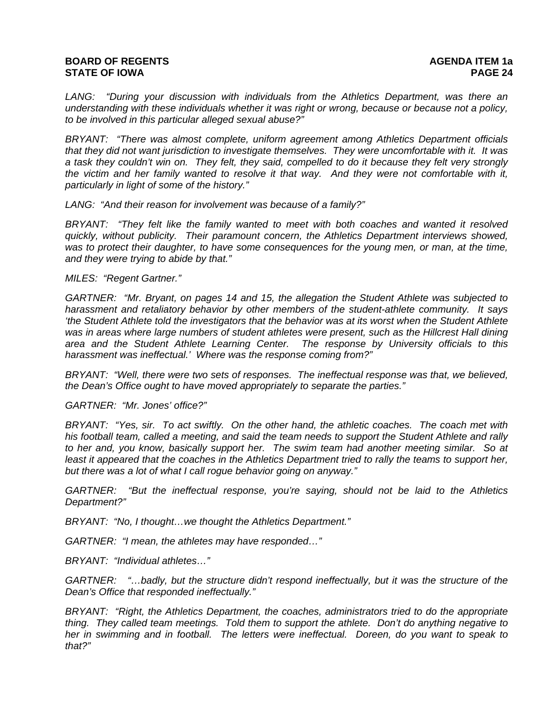*LANG: "During your discussion with individuals from the Athletics Department, was there an understanding with these individuals whether it was right or wrong, because or because not a policy, to be involved in this particular alleged sexual abuse?"* 

*BRYANT: "There was almost complete, uniform agreement among Athletics Department officials that they did not want jurisdiction to investigate themselves. They were uncomfortable with it. It was a task they couldn't win on. They felt, they said, compelled to do it because they felt very strongly the victim and her family wanted to resolve it that way. And they were not comfortable with it, particularly in light of some of the history."* 

*LANG: "And their reason for involvement was because of a family?"* 

*BRYANT: "They felt like the family wanted to meet with both coaches and wanted it resolved quickly, without publicity. Their paramount concern, the Athletics Department interviews showed,*  was to protect their daughter, to have some consequences for the young men, or man, at the time, *and they were trying to abide by that."* 

*MILES: "Regent Gartner."* 

*GARTNER: "Mr. Bryant, on pages 14 and 15, the allegation the Student Athlete was subjected to harassment and retaliatory behavior by other members of the student-athlete community. It says 'the Student Athlete told the investigators that the behavior was at its worst when the Student Athlete was in areas where large numbers of student athletes were present, such as the Hillcrest Hall dining area and the Student Athlete Learning Center. The response by University officials to this harassment was ineffectual.' Where was the response coming from?"* 

*BRYANT: "Well, there were two sets of responses. The ineffectual response was that, we believed, the Dean's Office ought to have moved appropriately to separate the parties."* 

*GARTNER: "Mr. Jones' office?"* 

*BRYANT: "Yes, sir. To act swiftly. On the other hand, the athletic coaches. The coach met with his football team, called a meeting, and said the team needs to support the Student Athlete and rally to her and, you know, basically support her. The swim team had another meeting similar. So at least it appeared that the coaches in the Athletics Department tried to rally the teams to support her, but there was a lot of what I call rogue behavior going on anyway."* 

*GARTNER: "But the ineffectual response, you're saying, should not be laid to the Athletics Department?"* 

*BRYANT: "No, I thought…we thought the Athletics Department."* 

*GARTNER: "I mean, the athletes may have responded…"* 

*BRYANT: "Individual athletes…"* 

*GARTNER: "…badly, but the structure didn't respond ineffectually, but it was the structure of the Dean's Office that responded ineffectually."* 

*BRYANT: "Right, the Athletics Department, the coaches, administrators tried to do the appropriate thing. They called team meetings. Told them to support the athlete. Don't do anything negative to her in swimming and in football. The letters were ineffectual. Doreen, do you want to speak to that?"*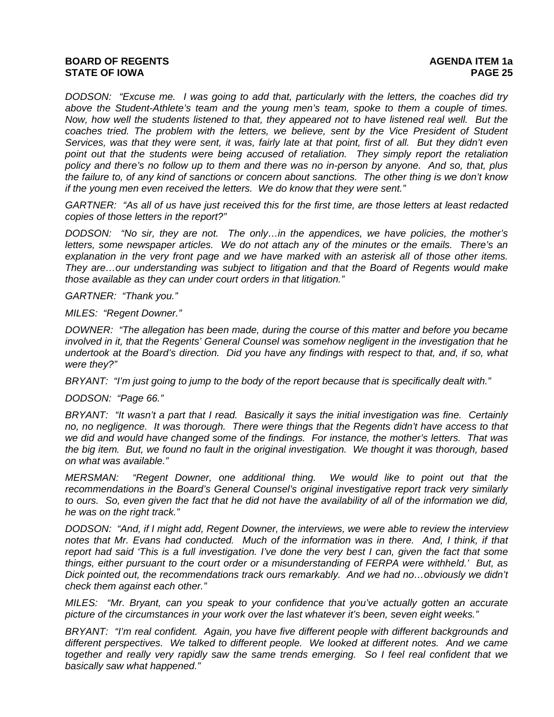*DODSON: "Excuse me. I was going to add that, particularly with the letters, the coaches did try above the Student-Athlete's team and the young men's team, spoke to them a couple of times. Now, how well the students listened to that, they appeared not to have listened real well. But the coaches tried. The problem with the letters, we believe, sent by the Vice President of Student Services, was that they were sent, it was, fairly late at that point, first of all. But they didn't even*  point out that the students were being accused of retaliation. They simply report the retaliation *policy and there's no follow up to them and there was no in-person by anyone. And so, that, plus the failure to, of any kind of sanctions or concern about sanctions. The other thing is we don't know if the young men even received the letters. We do know that they were sent."* 

*GARTNER: "As all of us have just received this for the first time, are those letters at least redacted copies of those letters in the report?"* 

*DODSON: "No sir, they are not. The only…in the appendices, we have policies, the mother's letters, some newspaper articles. We do not attach any of the minutes or the emails. There's an explanation in the very front page and we have marked with an asterisk all of those other items. They are…our understanding was subject to litigation and that the Board of Regents would make those available as they can under court orders in that litigation."* 

*GARTNER: "Thank you."* 

*MILES: "Regent Downer."* 

*DOWNER: "The allegation has been made, during the course of this matter and before you became involved in it, that the Regents' General Counsel was somehow negligent in the investigation that he undertook at the Board's direction. Did you have any findings with respect to that, and, if so, what were they?"* 

*BRYANT: "I'm just going to jump to the body of the report because that is specifically dealt with."* 

*DODSON: "Page 66."* 

*BRYANT: "It wasn't a part that I read. Basically it says the initial investigation was fine. Certainly no, no negligence. It was thorough. There were things that the Regents didn't have access to that we did and would have changed some of the findings. For instance, the mother's letters. That was the big item. But, we found no fault in the original investigation. We thought it was thorough, based on what was available."* 

*MERSMAN: "Regent Downer, one additional thing. We would like to point out that the recommendations in the Board's General Counsel's original investigative report track very similarly to ours. So, even given the fact that he did not have the availability of all of the information we did, he was on the right track."* 

*DODSON: "And, if I might add, Regent Downer, the interviews, we were able to review the interview notes that Mr. Evans had conducted. Much of the information was in there. And, I think, if that report had said 'This is a full investigation. I've done the very best I can, given the fact that some things, either pursuant to the court order or a misunderstanding of FERPA were withheld.' But, as Dick pointed out, the recommendations track ours remarkably. And we had no…obviously we didn't check them against each other."* 

*MILES: "Mr. Bryant, can you speak to your confidence that you've actually gotten an accurate picture of the circumstances in your work over the last whatever it's been, seven eight weeks."* 

*BRYANT: "I'm real confident. Again, you have five different people with different backgrounds and different perspectives. We talked to different people. We looked at different notes. And we came together and really very rapidly saw the same trends emerging. So I feel real confident that we basically saw what happened."*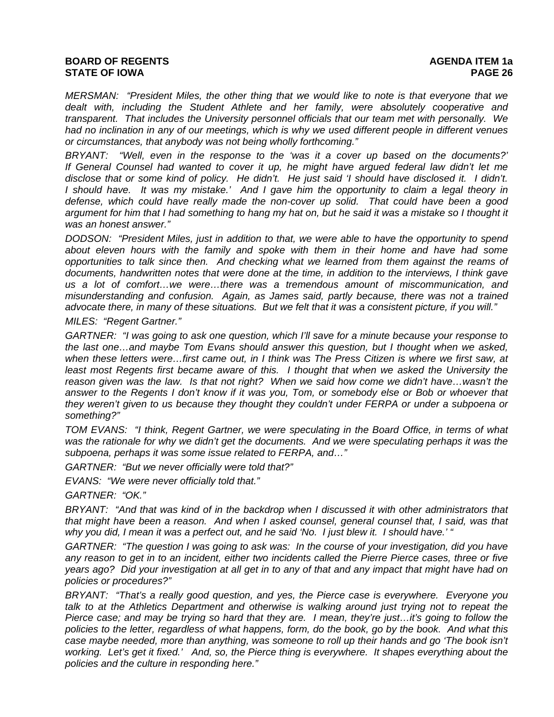*MERSMAN: "President Miles, the other thing that we would like to note is that everyone that we dealt with, including the Student Athlete and her family, were absolutely cooperative and transparent. That includes the University personnel officials that our team met with personally. We had no inclination in any of our meetings, which is why we used different people in different venues or circumstances, that anybody was not being wholly forthcoming."* 

*BRYANT: "Well, even in the response to the 'was it a cover up based on the documents?' If General Counsel had wanted to cover it up, he might have argued federal law didn't let me disclose that or some kind of policy. He didn't. He just said 'I should have disclosed it. I didn't. I* should have. It was my mistake.' And I gave him the opportunity to claim a legal theory in *defense, which could have really made the non-cover up solid. That could have been a good argument for him that I had something to hang my hat on, but he said it was a mistake so I thought it was an honest answer."* 

*DODSON: "President Miles, just in addition to that, we were able to have the opportunity to spend about eleven hours with the family and spoke with them in their home and have had some opportunities to talk since then. And checking what we learned from them against the reams of documents, handwritten notes that were done at the time, in addition to the interviews, I think gave us a lot of comfort…we were…there was a tremendous amount of miscommunication, and misunderstanding and confusion. Again, as James said, partly because, there was not a trained advocate there, in many of these situations. But we felt that it was a consistent picture, if you will."* 

*MILES: "Regent Gartner."* 

*GARTNER: "I was going to ask one question, which I'll save for a minute because your response to the last one…and maybe Tom Evans should answer this question, but I thought when we asked, when these letters were…first came out, in I think was The Press Citizen is where we first saw, at*  least most Regents first became aware of this. I thought that when we asked the University the *reason given was the law. Is that not right? When we said how come we didn't have…wasn't the answer to the Regents I don't know if it was you, Tom, or somebody else or Bob or whoever that they weren't given to us because they thought they couldn't under FERPA or under a subpoena or something?"* 

*TOM EVANS: "I think, Regent Gartner, we were speculating in the Board Office, in terms of what*  was the rationale for why we didn't get the documents. And we were speculating perhaps it was the *subpoena, perhaps it was some issue related to FERPA, and…"* 

*GARTNER: "But we never officially were told that?"* 

*EVANS: "We were never officially told that."* 

*GARTNER: "OK."* 

*BRYANT: "And that was kind of in the backdrop when I discussed it with other administrators that that might have been a reason. And when I asked counsel, general counsel that, I said, was that why you did, I mean it was a perfect out, and he said 'No. I just blew it. I should have.' "* 

*GARTNER: "The question I was going to ask was: In the course of your investigation, did you have any reason to get in to an incident, either two incidents called the Pierre Pierce cases, three or five years ago? Did your investigation at all get in to any of that and any impact that might have had on policies or procedures?"* 

*BRYANT: "That's a really good question, and yes, the Pierce case is everywhere. Everyone you talk to at the Athletics Department and otherwise is walking around just trying not to repeat the Pierce case; and may be trying so hard that they are. I mean, they're just…it's going to follow the policies to the letter, regardless of what happens, form, do the book, go by the book. And what this case maybe needed, more than anything, was someone to roll up their hands and go 'The book isn't working. Let's get it fixed.' And, so, the Pierce thing is everywhere. It shapes everything about the policies and the culture in responding here."*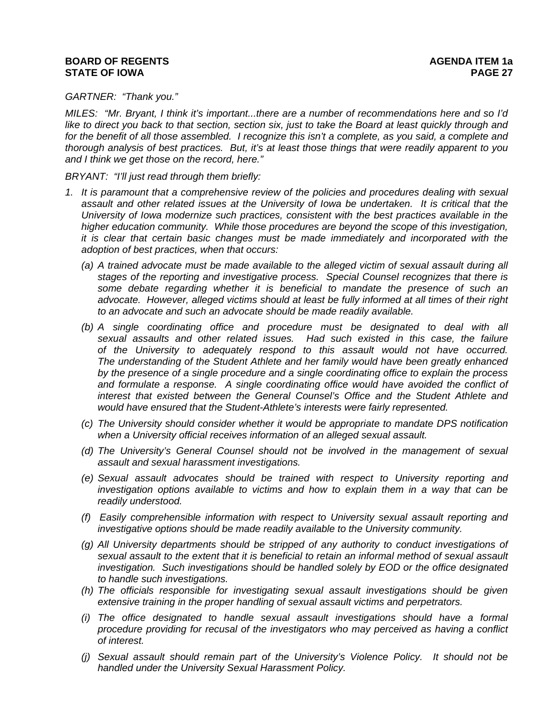#### *GARTNER: "Thank you."*

*MILES: "Mr. Bryant, I think it's important...there are a number of recommendations here and so I'd like to direct you back to that section, section six, just to take the Board at least quickly through and*  for the benefit of all those assembled. I recognize this isn't a complete, as you said, a complete and *thorough analysis of best practices. But, it's at least those things that were readily apparent to you and I think we get those on the record, here."* 

*BRYANT: "I'll just read through them briefly:* 

- *1. It is paramount that a comprehensive review of the policies and procedures dealing with sexual assault and other related issues at the University of Iowa be undertaken. It is critical that the University of Iowa modernize such practices, consistent with the best practices available in the higher education community. While those procedures are beyond the scope of this investigation, it is clear that certain basic changes must be made immediately and incorporated with the adoption of best practices, when that occurs:* 
	- *(a) A trained advocate must be made available to the alleged victim of sexual assault during all stages of the reporting and investigative process. Special Counsel recognizes that there is some debate regarding whether it is beneficial to mandate the presence of such an advocate. However, alleged victims should at least be fully informed at all times of their right to an advocate and such an advocate should be made readily available.*
	- *(b) A single coordinating office and procedure must be designated to deal with all sexual assaults and other related issues. Had such existed in this case, the failure of the University to adequately respond to this assault would not have occurred. The understanding of the Student Athlete and her family would have been greatly enhanced by the presence of a single procedure and a single coordinating office to explain the process and formulate a response. A single coordinating office would have avoided the conflict of interest that existed between the General Counsel's Office and the Student Athlete and would have ensured that the Student-Athlete's interests were fairly represented.*
	- *(c) The University should consider whether it would be appropriate to mandate DPS notification when a University official receives information of an alleged sexual assault.*
	- *(d) The University's General Counsel should not be involved in the management of sexual assault and sexual harassment investigations.*
	- *(e) Sexual assault advocates should be trained with respect to University reporting and investigation options available to victims and how to explain them in a way that can be readily understood.*
	- *(f) Easily comprehensible information with respect to University sexual assault reporting and investigative options should be made readily available to the University community.*
	- *(g) All University departments should be stripped of any authority to conduct investigations of sexual assault to the extent that it is beneficial to retain an informal method of sexual assault investigation. Such investigations should be handled solely by EOD or the office designated to handle such investigations.*
	- *(h) The officials responsible for investigating sexual assault investigations should be given extensive training in the proper handling of sexual assault victims and perpetrators.*
	- *(i) The office designated to handle sexual assault investigations should have a formal procedure providing for recusal of the investigators who may perceived as having a conflict of interest.*
	- *(j) Sexual assault should remain part of the University's Violence Policy. It should not be handled under the University Sexual Harassment Policy.*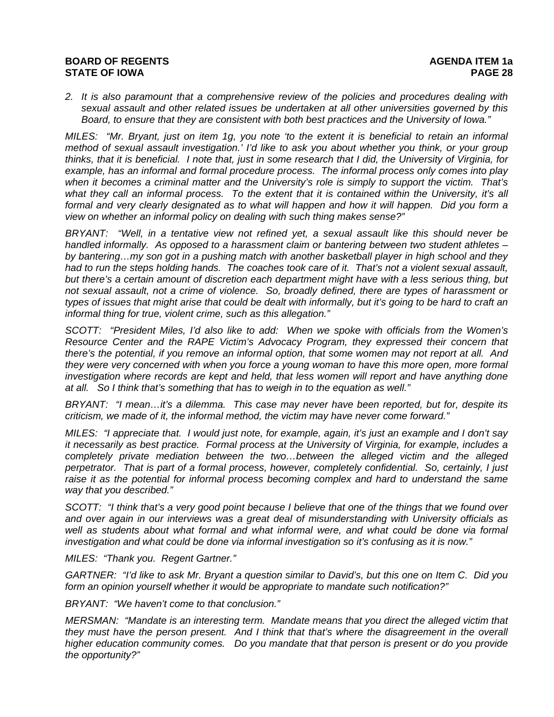*2. It is also paramount that a comprehensive review of the policies and procedures dealing with sexual assault and other related issues be undertaken at all other universities governed by this Board, to ensure that they are consistent with both best practices and the University of Iowa."* 

*MILES: "Mr. Bryant, just on item 1g, you note 'to the extent it is beneficial to retain an informal method of sexual assault investigation.' I'd like to ask you about whether you think, or your group thinks, that it is beneficial. I note that, just in some research that I did, the University of Virginia, for example, has an informal and formal procedure process. The informal process only comes into play when it becomes a criminal matter and the University's role is simply to support the victim. That's*  what they call an informal process. To the extent that it is contained within the University, it's all *formal and very clearly designated as to what will happen and how it will happen. Did you form a view on whether an informal policy on dealing with such thing makes sense?"* 

*BRYANT: "Well, in a tentative view not refined yet, a sexual assault like this should never be handled informally. As opposed to a harassment claim or bantering between two student athletes – by bantering…my son got in a pushing match with another basketball player in high school and they had to run the steps holding hands. The coaches took care of it. That's not a violent sexual assault, but there's a certain amount of discretion each department might have with a less serious thing, but not sexual assault, not a crime of violence. So, broadly defined, there are types of harassment or types of issues that might arise that could be dealt with informally, but it's going to be hard to craft an informal thing for true, violent crime, such as this allegation."* 

*SCOTT: "President Miles, I'd also like to add: When we spoke with officials from the Women's Resource Center and the RAPE Victim's Advocacy Program, they expressed their concern that there's the potential, if you remove an informal option, that some women may not report at all. And they were very concerned with when you force a young woman to have this more open, more formal investigation where records are kept and held, that less women will report and have anything done at all. So I think that's something that has to weigh in to the equation as well."* 

*BRYANT: "I mean…it's a dilemma. This case may never have been reported, but for, despite its criticism, we made of it, the informal method, the victim may have never come forward."* 

*MILES: "I appreciate that. I would just note, for example, again, it's just an example and I don't say it necessarily as best practice. Formal process at the University of Virginia, for example, includes a completely private mediation between the two…between the alleged victim and the alleged perpetrator. That is part of a formal process, however, completely confidential. So, certainly, I just*  raise it as the potential for informal process becoming complex and hard to understand the same *way that you described."* 

*SCOTT: "I think that's a very good point because I believe that one of the things that we found over and over again in our interviews was a great deal of misunderstanding with University officials as well as students about what formal and what informal were, and what could be done via formal investigation and what could be done via informal investigation so it's confusing as it is now."* 

*MILES: "Thank you. Regent Gartner."* 

*GARTNER: "I'd like to ask Mr. Bryant a question similar to David's, but this one on Item C. Did you form an opinion yourself whether it would be appropriate to mandate such notification?"* 

*BRYANT: "We haven't come to that conclusion."* 

*MERSMAN: "Mandate is an interesting term. Mandate means that you direct the alleged victim that they must have the person present. And I think that that's where the disagreement in the overall higher education community comes. Do you mandate that that person is present or do you provide the opportunity?"*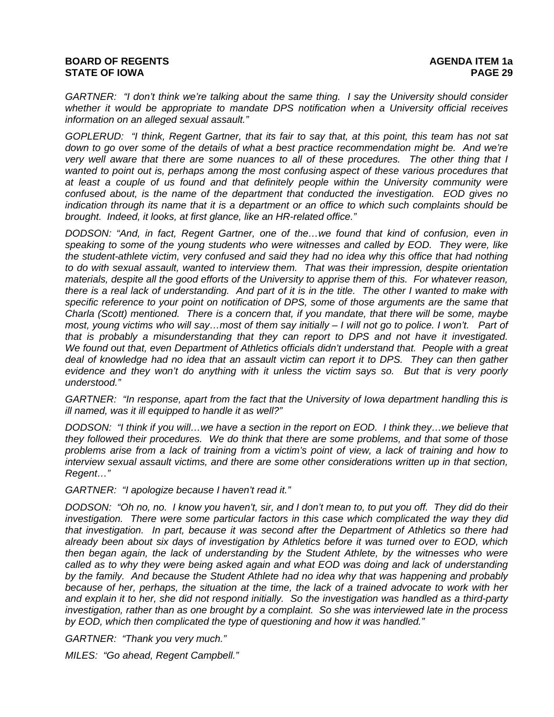*GARTNER: "I don't think we're talking about the same thing. I say the University should consider whether it would be appropriate to mandate DPS notification when a University official receives information on an alleged sexual assault."* 

*GOPLERUD: "I think, Regent Gartner, that its fair to say that, at this point, this team has not sat down to go over some of the details of what a best practice recommendation might be. And we're very well aware that there are some nuances to all of these procedures. The other thing that I*  wanted to point out is, perhaps among the most confusing aspect of these various procedures that *at least a couple of us found and that definitely people within the University community were confused about, is the name of the department that conducted the investigation. EOD gives no indication through its name that it is a department or an office to which such complaints should be brought. Indeed, it looks, at first glance, like an HR-related office."* 

*DODSON: "And, in fact, Regent Gartner, one of the…we found that kind of confusion, even in speaking to some of the young students who were witnesses and called by EOD. They were, like the student-athlete victim, very confused and said they had no idea why this office that had nothing to do with sexual assault, wanted to interview them. That was their impression, despite orientation materials, despite all the good efforts of the University to apprise them of this. For whatever reason, there is a real lack of understanding. And part of it is in the title. The other I wanted to make with specific reference to your point on notification of DPS, some of those arguments are the same that Charla (Scott) mentioned. There is a concern that, if you mandate, that there will be some, maybe most, young victims who will say…most of them say initially – I will not go to police. I won't. Part of that is probably a misunderstanding that they can report to DPS and not have it investigated. We found out that, even Department of Athletics officials didn't understand that. People with a great deal of knowledge had no idea that an assault victim can report it to DPS. They can then gather evidence and they won't do anything with it unless the victim says so. But that is very poorly understood."* 

*GARTNER: "In response, apart from the fact that the University of Iowa department handling this is ill named, was it ill equipped to handle it as well?"* 

*DODSON: "I think if you will…we have a section in the report on EOD. I think they…we believe that they followed their procedures. We do think that there are some problems, and that some of those problems arise from a lack of training from a victim's point of view, a lack of training and how to interview sexual assault victims, and there are some other considerations written up in that section, Regent…"* 

*GARTNER: "I apologize because I haven't read it."* 

*DODSON: "Oh no, no. I know you haven't, sir, and I don't mean to, to put you off. They did do their investigation. There were some particular factors in this case which complicated the way they did that investigation. In part, because it was second after the Department of Athletics so there had already been about six days of investigation by Athletics before it was turned over to EOD, which then began again, the lack of understanding by the Student Athlete, by the witnesses who were called as to why they were being asked again and what EOD was doing and lack of understanding by the family. And because the Student Athlete had no idea why that was happening and probably because of her, perhaps, the situation at the time, the lack of a trained advocate to work with her and explain it to her, she did not respond initially. So the investigation was handled as a third-party investigation, rather than as one brought by a complaint. So she was interviewed late in the process by EOD, which then complicated the type of questioning and how it was handled."* 

*GARTNER: "Thank you very much."* 

*MILES: "Go ahead, Regent Campbell."*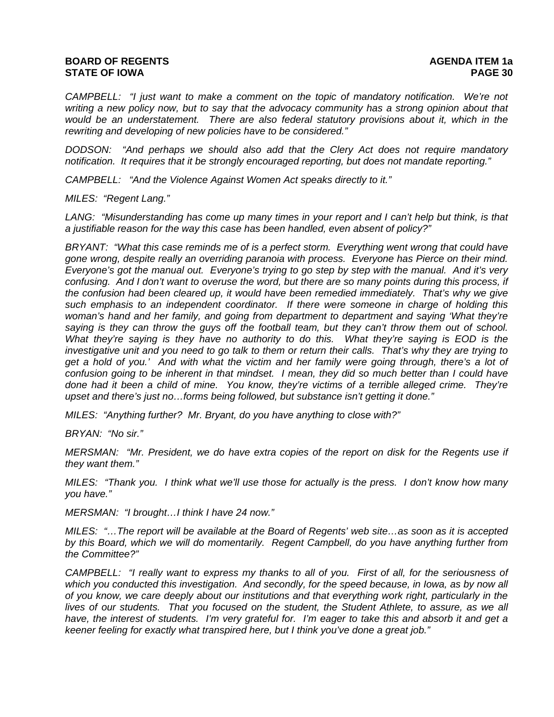# **BOARD OF REGENTS** AGENUS AGENDA ITEM 1a **STATE OF IOWA PAGE 30**

*CAMPBELL: "I just want to make a comment on the topic of mandatory notification. We're not*  writing a new policy now, but to say that the advocacy community has a strong opinion about that *would be an understatement. There are also federal statutory provisions about it, which in the rewriting and developing of new policies have to be considered."* 

*DODSON: "And perhaps we should also add that the Clery Act does not require mandatory notification. It requires that it be strongly encouraged reporting, but does not mandate reporting."* 

*CAMPBELL: "And the Violence Against Women Act speaks directly to it."* 

*MILES: "Regent Lang."* 

LANG: "Misunderstanding has come up many times in your report and I can't help but think, is that *a justifiable reason for the way this case has been handled, even absent of policy?"* 

*BRYANT: "What this case reminds me of is a perfect storm. Everything went wrong that could have gone wrong, despite really an overriding paranoia with process. Everyone has Pierce on their mind. Everyone's got the manual out. Everyone's trying to go step by step with the manual. And it's very confusing. And I don't want to overuse the word, but there are so many points during this process, if the confusion had been cleared up, it would have been remedied immediately. That's why we give such emphasis to an independent coordinator. If there were someone in charge of holding this woman's hand and her family, and going from department to department and saying 'What they're saying is they can throw the guys off the football team, but they can't throw them out of school. What they're saying is they have no authority to do this. What they're saying is EOD is the investigative unit and you need to go talk to them or return their calls. That's why they are trying to get a hold of you.' And with what the victim and her family were going through, there's a lot of confusion going to be inherent in that mindset. I mean, they did so much better than I could have done had it been a child of mine. You know, they're victims of a terrible alleged crime. They're upset and there's just no…forms being followed, but substance isn't getting it done."* 

*MILES: "Anything further? Mr. Bryant, do you have anything to close with?"* 

*BRYAN: "No sir."* 

*MERSMAN: "Mr. President, we do have extra copies of the report on disk for the Regents use if they want them."* 

*MILES: "Thank you. I think what we'll use those for actually is the press. I don't know how many you have."* 

*MERSMAN: "I brought…I think I have 24 now."* 

*MILES: "…The report will be available at the Board of Regents' web site…as soon as it is accepted by this Board, which we will do momentarily. Regent Campbell, do you have anything further from the Committee?"* 

*CAMPBELL: "I really want to express my thanks to all of you. First of all, for the seriousness of which you conducted this investigation. And secondly, for the speed because, in Iowa, as by now all of you know, we care deeply about our institutions and that everything work right, particularly in the lives of our students. That you focused on the student, the Student Athlete, to assure, as we all have, the interest of students. I'm very grateful for. I'm eager to take this and absorb it and get a keener feeling for exactly what transpired here, but I think you've done a great job."*